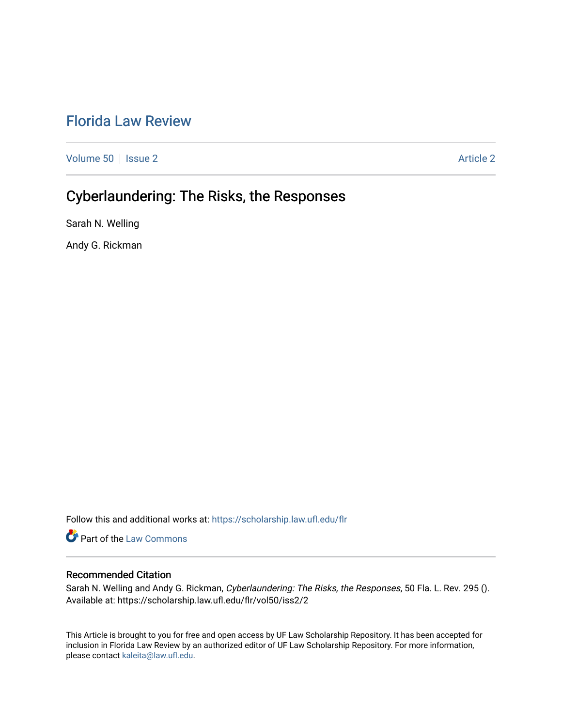# [Florida Law Review](https://scholarship.law.ufl.edu/flr)

[Volume 50](https://scholarship.law.ufl.edu/flr/vol50) | [Issue 2](https://scholarship.law.ufl.edu/flr/vol50/iss2) Article 2

# Cyberlaundering: The Risks, the Responses

Sarah N. Welling

Andy G. Rickman

Follow this and additional works at: [https://scholarship.law.ufl.edu/flr](https://scholarship.law.ufl.edu/flr?utm_source=scholarship.law.ufl.edu%2Fflr%2Fvol50%2Fiss2%2F2&utm_medium=PDF&utm_campaign=PDFCoverPages)

Part of the [Law Commons](http://network.bepress.com/hgg/discipline/578?utm_source=scholarship.law.ufl.edu%2Fflr%2Fvol50%2Fiss2%2F2&utm_medium=PDF&utm_campaign=PDFCoverPages)

# Recommended Citation

Sarah N. Welling and Andy G. Rickman, Cyberlaundering: The Risks, the Responses, 50 Fla. L. Rev. 295 (). Available at: https://scholarship.law.ufl.edu/flr/vol50/iss2/2

This Article is brought to you for free and open access by UF Law Scholarship Repository. It has been accepted for inclusion in Florida Law Review by an authorized editor of UF Law Scholarship Repository. For more information, please contact [kaleita@law.ufl.edu](mailto:kaleita@law.ufl.edu).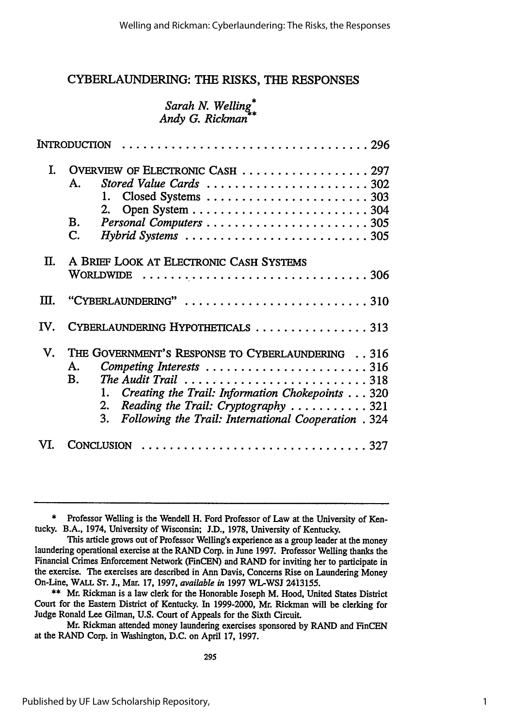# CYBERLAUNDERING: THE RISKS, THE **RESPONSES**

# *Sarah N. Welling*<sup>\*</sup> *Andy G. Rickman'*

| I.  | OVERVIEW OF ELECTRONIC CASH 297<br>Stored Value Cards 302<br>А.<br>2.<br>В.<br>Personal Computers 305<br>C.<br>$Hybrid$ Systems $\ldots \ldots \ldots \ldots \ldots \ldots \ldots \ldots \ldots 305$                                                                                                                                    |
|-----|-----------------------------------------------------------------------------------------------------------------------------------------------------------------------------------------------------------------------------------------------------------------------------------------------------------------------------------------|
| П.  | A BRIEF LOOK AT ELECTRONIC CASH SYSTEMS<br>WORLDWIDE                                                                                                                                                                                                                                                                                    |
| MT. | "CYBERLAUNDERING" 310                                                                                                                                                                                                                                                                                                                   |
| IV. | CYBERLAUNDERING HYPOTHETICALS  313                                                                                                                                                                                                                                                                                                      |
| V.  | THE GOVERNMENT'S RESPONSE TO CYBERLAUNDERING 316<br>Competing Interests 316<br>A.<br>В.<br>The Audit Trail $\ldots \ldots \ldots \ldots \ldots \ldots \ldots \ldots 318$<br>Creating the Trail: Information Chokepoints 320<br>Reading the Trail: Cryptography  321<br>2.<br>Following the Trail: International Cooperation . 324<br>3. |
|     | CONCLUSION                                                                                                                                                                                                                                                                                                                              |

**\*** Professor Welling is the Wendell H. Ford Professor of Law at the University of Kentucky. B.A., 1974, University of Wisconsin; J.D., 1978, University of Kentucky.

\*\* Mr. Rickman is a law clerk for the Honorable Joseph M. Hood, United States District Court for the Eastern District of Kentucky. In 1999-2000, Mr. Rickman will be clerking for Judge Ronald Lee Gilman, U.S. Court of Appeals for the Sixth Circuit.

Mr. Rickman attended money laundering exercises sponsored by RAND and FinCEN at the RAND Corp. in Washington, D.C. on April 17, 1997.

This article grows out of Professor Welling's experience as a group leader at the money laundering operational exercise at the RAND Corp. in June 1997. Professor Welling thanks the Financial Crimes Enforcement Network (FinCEN) and RAND for inviting her to participate in the exercise. The exercises are described in Ann Davis, Concerns Rise on Laundering Money On-Line, WALL **ST.** J., Mar. 17, 1997, *available in* 1997 WL-WSJ 2413155.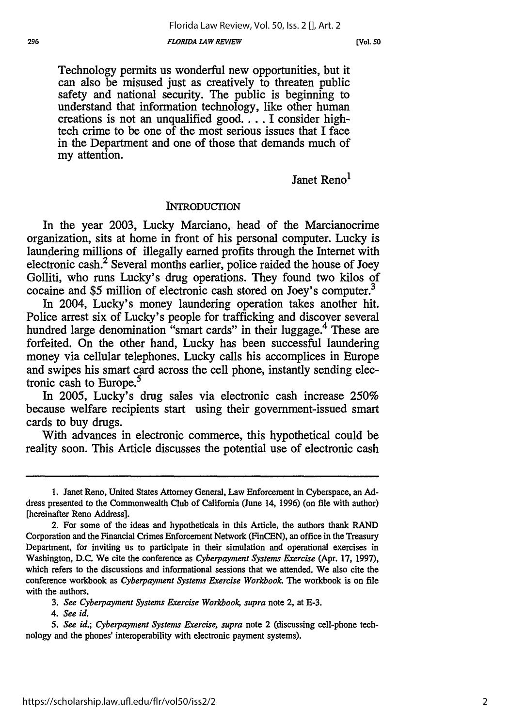**(Vol. so**

Technology permits us wonderful new opportunities, but it can also be misused just as creatively to threaten public safety and national security. The public is beginning to understand that information technology, like other human creations is not an unqualified good.... I consider hightech crime to be one of the most serious issues that I face in the Department and one of those that demands much of my attention.

Janet Reno<sup>1</sup>

# **INTRODUCTION**

In the year 2003, Lucky Marciano, head of the Marcianocrime organization, sits at home in front of his personal computer. Lucky is laundering millions of illegally earned profits through the Internet with electronic cash.<sup>2</sup> Several months earlier, police raided the house of Joey Golliti, who runs Lucky's drug operations. They found two kilos of cocaine and \$5 million of electronic cash stored on Joey's computer.<sup>3</sup>

In 2004, Lucky's money laundering operation takes another hit. Police arrest six of Lucky's people for trafficking and discover several hundred large denomination "smart cards" in their luggage.<sup>4</sup> These are forfeited. On the other hand, Lucky has been successful laundering money via cellular telephones. Lucky calls his accomplices in Europe and swipes his smart card across the cell phone, instantly sending electronic cash to Europe.<sup>5</sup>

In 2005, Lucky's drug sales via electronic cash increase 250% because welfare recipients start using their government-issued smart cards to buy drugs.

With advances in electronic commerce, this hypothetical could be reality soon. This Article discusses the potential use of electronic cash

<sup>1.</sup> Janet Reno, United States Attorney General, Law Enforcement in Cyberspace, an Address presented to the Commonwealth Club of California (June 14, 1996) (on file with author) [hereinafter Reno Address].

<sup>2.</sup> For some of the ideas and hypotheticals in this Article, the authors thank RAND Corporation and the Financial Crimes Enforcement Network (FinCEN), an office in the Treasury Department, for inviting us to participate in their simulation and operational exercises in Washington, D.C. We cite the conference as *Cyberpayment Systems Exercise* (Apr. 17, 1997), which refers to the discussions and informational sessions that we attended. We also cite the conference workbook as *Cyberpayment Systems Exercise Workbook.* The workbook is on file with the authors.

*<sup>3.</sup> See Cyberpayment Systems Exercise Workbook, supra* note 2, at E-3.

*<sup>4.</sup> See id.*

*<sup>5.</sup> See id.; Cyberpayment Systems Exercise, supra* note 2 (discussing cell-phone technology and the phones' interoperability with electronic payment systems).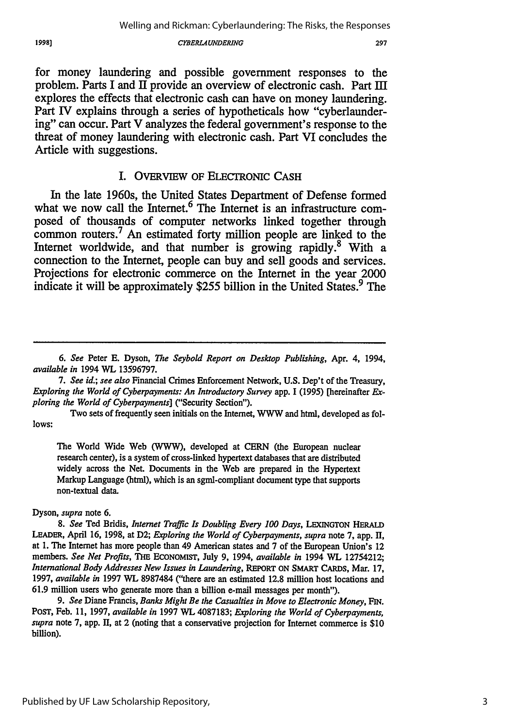297

for money laundering and possible government responses to the problem. Parts **I** and **II** provide an overview of electronic cash. Part **I** explores the effects that electronic cash can have on money laundering. Part IV explains through a series of hypotheticals how "cyberlaundering" can occur. Part V analyzes the federal government's response to the threat of money laundering with electronic cash. Part VI concludes the Article with suggestions.

## I. **OVERVIEW OF** ELECTRONIC **CASH**

In the late 1960s, the United States Department of Defense formed what we now call the Internet.<sup>6</sup> The Internet is an infrastructure composed of thousands of computer networks linked together through common routers.<sup>7</sup> An estimated forty million people are linked to the Internet worldwide, and that number is growing rapidly.<sup>8</sup> With a connection to the Internet, people can buy and sell goods and services. Projections for electronic commerce on the Internet in the year 2000 indicate it will be approximately \$255 billion in the United States. 9 The

Two sets of frequently seen initials on the Internet, WWW and html, developed as fol**lows:**

The World Wide Web (WWW), developed at **CERN** (the European nuclear research center), is a system of cross-linked hypertext databases that are distributed widely across the Net. Documents in the Web are prepared in the Hypertext Markup Language (html), which is an sgml-compliant document **type** that supports non-textual data.

#### Dyson, *supra* note **6.**

*9. See* Diane Francis, *Banks Might Be the Casualties in Move to Electronic Money, FIN.* POST, Feb. **11,** 1997, *available in* 1997 WL 4087183; *Exploring the World of Cyberpayments, supra* note 7, app. II, at 2 (noting that a conservative projection for Internet commerce is \$10 billion).

*<sup>6.</sup> See* Peter **E.** Dyson, *The Seybold Report on Desktop Publishing,* Apr. 4, 1994, *available in* 1994 WL 13596797.

*<sup>7.</sup> See id.; see also* Financial Crimes Enforcement Network, U.S. Dep't of the Treasury, *Exploring the World of Cyberpayments: An Introductory Survey* app. 1 (1995) [hereinafter *Exploring the World of Cyberpayments]* ("Security Section").

*<sup>8.</sup> See* Ted Bridis, *Internet Traffic Is Doubling Every 100 Days,* **LEXINGTON HERALD LEADER,** April **16, 1998,** at **D2;** *Exploring the World of Cyberpayments, supra* note **7,** app. **II,** at **1.** The Internet has more people than 49 American states and **7** of the European Union's 12 members. *See Net Profits,* **THE ECONOMIST,** July 9, 1994, *available in* 1994 WL 12754212; *International Body Addresses New Issues in Laundering,* **REPORT ON SMART** CARDS, Mar. 17, 1997, *available in* 1997 WL 8987484 ("there are an estimated 12.8 million host locations and 61.9 million users who generate more than a billion e-mail messages per month").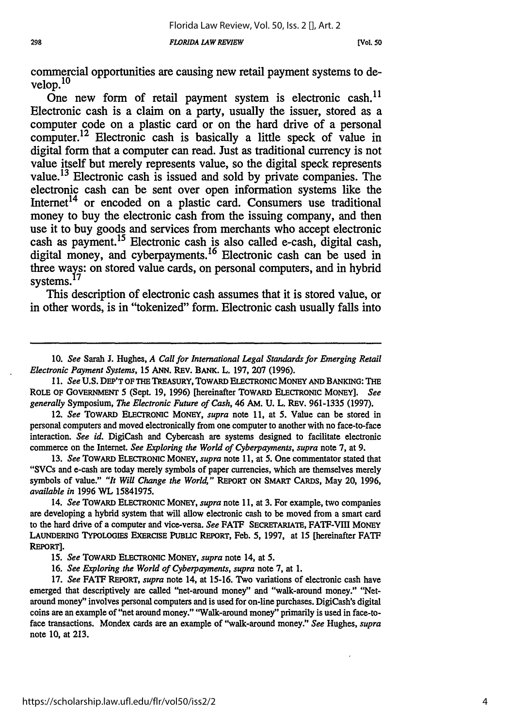commercial opportunities are causing new retail payment systems to develop. $10$ 

One new form of retail payment system is electronic cash.<sup>11</sup> Electronic cash is a claim on a party, usually the issuer, stored as a computer code on a plastic card or on the hard drive of a personal computer.<sup>12</sup> Electronic cash is basically a little speck of value in digital form that a computer can read. Just as traditional currency is not value itself but merely represents value, so the digital speck represents value. 13 Electronic cash is issued and sold **by** private companies. The electronic cash can be sent over open information systems like the Internet<sup>14</sup> or encoded on a plastic card. Consumers use traditional money to buy the electronic cash from the issuing company, and then use it to buy goods and services from merchants who accept electronic cash as payment.15 Electronic cash is also called e-cash, digital cash, digital money, and cyberpayments.<sup>16</sup> Electronic cash can be used in three ways: on stored value cards, on personal computers, and in hybrid systems.<sup>17</sup>

This description of electronic cash assumes that it is stored value, or in other words, is in "tokenized" form. Electronic cash usually falls into

12. *See* TOWARD ELECrRONIC MONEY, *supra* note 11, at 5. Value can be stored in personal computers and moved electronically from one computer to another with no face-to-face interaction. *See id.* DigiCash and Cybercash are systems designed to facilitate electronic commerce on the Internet. *See Exploring the World of Cyberpayments, supra* note 7, at 9.

13. *See* TOWARD ELECTRONIC MONEY, *supra* note 11, at 5. One commentator stated that "SVCs and e-cash are today merely symbols of paper currencies, which are themselves merely symbols of value." *"It Will Change the World,"* REPORT ON SMART CARDS, May 20, 1996, *available in* 1996 WL 15841975.

14. *See* TOWARD ELECTRONIC MONEY, *supra* note 11, at 3. For example, two companies are developing a hybrid system that will allow electronic cash to be moved from a smart card to the hard drive of a computer and vice-versa. *See* **FATF** SECRETARIATE, FATF-VIII MONEY **LAUNDERING TYPOLOGIES EXERCISE PUBLIC** REPORT, Feb. 5, 1997, at 15 [hereinafter FATF REPORT].

16. *See Exploring the World of Cyberpayments, supra* note 7, at 1.

17. *See* FATF REPORT, *supra* note 14, at 15-16. Two variations of electronic cash have emerged that descriptively are called "net-around money" and "walk-around money." "Netaround money" involves personal computers and is used for on-line purchases. DigiCash's digital coins are an example of "net around money." "Walk-around money" primarily is used in face-toface transactions. Mondex cards are an example of "walk-around money." *See* Hughes, *supra* note 10, at 213.

**<sup>10.</sup>** *See* Sarah **J.** Hughes, *A Call for International Legal Standards for Emerging Retail Electronic Payment Systems,* 15 **ANN. REV. BANK.** L. 197, 207 (1996).

*<sup>11.</sup> See* **U.S.** DEP'T OF THE TREASURY, TOWARD ELECTRONIC MONEY **AND BANKING:** THE ROLE OF **GOVERNMENT** 5 (Sept. **19,** 1996) [hereinafter TOWARD ELECTRONIC MONEY]. *See generally* Symposium, *The Electronic Future of Cash,* 46 AM. U. L. REV. 961-1335 (1997).

<sup>15.</sup> *See* TOWARD ELECTRONIC MONEY, *supra* note 14, at 5.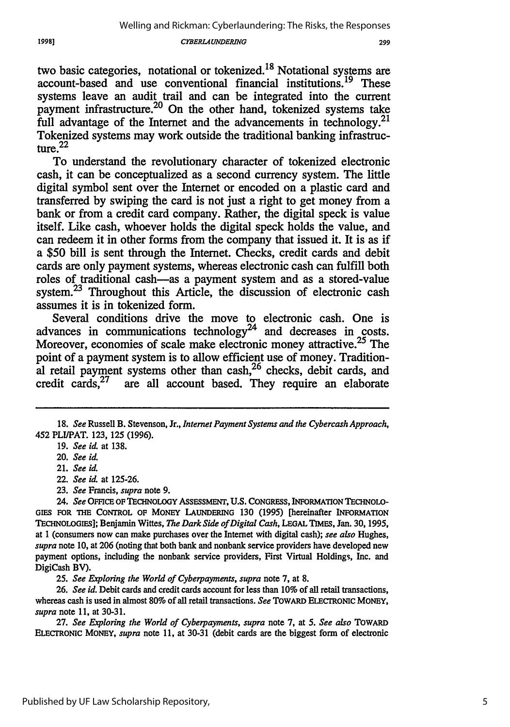two basic categories, notational or tokenized.<sup>18</sup> Notational systems are account-based and use conventional financial institutions.<sup>19</sup> These systems leave an audit trail and can be integrated into the current payment infrastructure.<sup>20</sup> On the other hand, tokenized systems take full advantage of the Internet and the advancements in technology.<sup>21</sup> Tokenized systems may work outside the traditional banking infrastruc $ture.<sup>22</sup>$ 

To understand the revolutionary character of tokenized electronic cash, it can be conceptualized as a second currency system. The little digital symbol sent over the Internet or encoded on a plastic card and transferred **by** swiping the card is not just a right to get money from a bank or from a credit card company. Rather, the digital speck is value itself. Like cash, whoever holds the digital speck holds the value, and can redeem it in other forms from the company that issued it. It is as if a **\$50** bill is sent through the Internet. Checks, credit cards and debit cards are only payment systems, whereas electronic cash can fulfill both roles of traditional cash-as a payment system and as a stored-value system.<sup>23</sup> Throughout this Article, the discussion of electronic cash assumes it is in tokenized form.

Several conditions drive the move to electronic cash. One is advances in communications technology 24 and decreases in costs. Moreover, economies of scale make electronic money attractive.<sup>25</sup> The point of a payment system is to allow efficient use of money. Traditional retail payment systems other than cash,  $^{26}$  checks, debit cards, and credit cards,  $^{27}$  are all account based. They require an elaborate are all account based. They require an elaborate

*25. See Exploring the World of Cyberpayments, supra* note **7,** at **8.**

**26.** *See id.* Debit cards and credit cards account for less than **10%** of all retail transactions, whereas cash is used in almost **80%** of all retail transactions. *See* TOWARD **ELECTRONIC MONEY,** *supra* note **11,** at **30-31.**

**27.** *See Exploring the World of Cyberpayments, supra* note **7,** at *5. See also* TOWARD **ELECTRONIC MONEY,** *supra* note **11,** at **30-31** (debit cards are the biggest form of electronic

*<sup>18.</sup> See* Russell B. Stevenson, Jr., *Internet Payment Systems and the Cybercash Approach,* 452 PLLIPAT. **123,** 125 **(1996).**

**<sup>19.</sup>** *See id.* at **138.**

<sup>20.</sup> *See id.*

<sup>21.</sup> *See id.*

<sup>22.</sup> *See id.* at **125-26.**

**<sup>23.</sup>** *See* Francis, *supra* note **9.**

<sup>24.</sup> *See* OFFICE *Op TECHNOLOGY* ASSESSMENT, **U.S.** CONGRESS, INFORMATION TECHNOLO-**GIES FOR THE CONTROL** OF MONEY **LAUNDERING 130 (1995)** [hereinafter **INFORMATION TECHNOLOGIES];** Benjamin Wittes, *The Dark Side of Digital Cash,* **LEGAL** TIMEs, Jan. **30, 1995,** at **1** (consumers now can make purchases over the Internet with digital cash); *see also* Hughes, *supra* note **10,** at **206** (noting that both bank and nonbank service providers have developed new payment options, including the nonbank service providers, First Virtual Holdings, Inc. and DigiCash BV).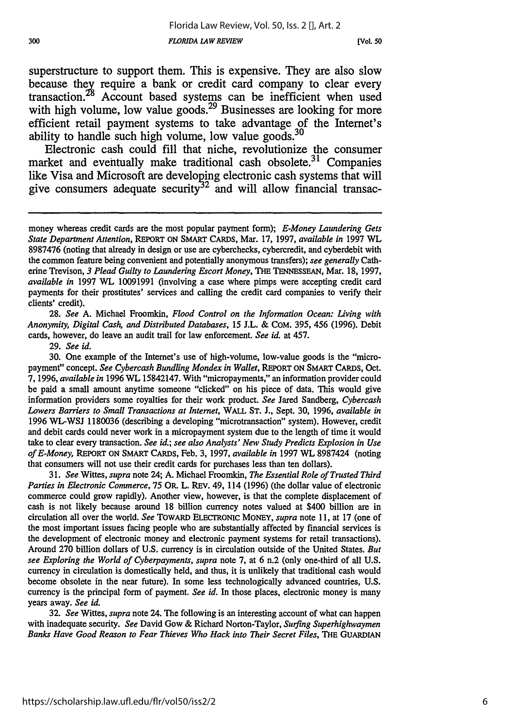**[Vol. 50**

superstructure to support them. This is expensive. They are also slow because they require a bank or credit card company to clear every transaction.<sup>28</sup> Account based systems can be inefficient when used with high volume, low value goods.<sup>29</sup> Businesses are looking for more efficient retail payment systems to take advantage of the Internet's ability to handle such high volume, low value goods.<sup>30</sup>

Electronic cash could fill that niche, revolutionize the consumer market and eventually make traditional cash obsolete.<sup>31</sup> Companies like Visa and Microsoft are developing electronic cash systems that will give consumers adequate security<sup>32</sup> and will allow financial transac-

28. *See* A. Michael Froomkin, *Flood Control on the Information Ocean: Living with Anonymity, Digital Cash, and Distributed Databases,* 15 J.L. & CoM. 395, 456 (1996). Debit cards, however, do leave an audit trail for law enforcement. *See id.* at 457.

**29.** *See id.*

30. One example of the Intemet's use of high-volume, low-value goods is the "micropayment" concept. *See Cybercash Bundling Mondex in Wallet,* REPORT ON SMART CARDS, Oct. 7, 1996, *available in* 1996 WL 15842147. With "micropayments," an information provider could be paid a small amount anytime someone "clicked" on his piece of data. This would give information providers some royalties for their work product. *See* Jared Sandberg, *Cybercash Lowers Barriers to Small Transactions at Internet,* WALL **ST. J.,** Sept. 30, 1996, *available in* 1996 WL-WSJ 1180036 (describing a developing "microtransaction" system). However, credit and debit cards could never work in a micropayment system due to the length of time it would take to clear every transaction. *See id.; see also Analysts' New Study Predicts Explosion in Use of E-Money,* REPORT **ON SMART** CARDS, Feb. 3, 1997, *available in* 1997 WL 8987424 (noting that consumers will not use their credit cards for purchases less than ten dollars).

31. *See* Wittes, *supra* note 24; A. Michael Froomkin, *The Essential Role of Trusted Third Parties in Electronic Commerce,* 75 OR. L. REv. 49, 114 (1996) (the dollar value of electronic commerce could grow rapidly). Another view, however, is that the complete displacement of cash is not likely because around 18 billion currency notes valued at \$400 billion are in circulation all over the world. *See* TOWARD ELECrRONIC MONEY, *supra* note 11, at 17 (one of the most important issues facing people who are substantially affected by financial services is the development of electronic money and electronic payment systems for retail transactions). Around 270 billion dollars of U.S. currency is in circulation outside of the United States. *But see Exploring the World of Cyberpayments, supra* note 7, at 6 n.2 (only one-third of all U.S. currency in circulation is domestically held, and thus, it is unlikely that traditional cash would become obsolete in the near future). In some less technologically advanced countries, **U.S.** currency is the principal form of payment. *See id.* In those places, electronic money is many years away. *See id.*

32. *See* Wittes, *supra* note 24. The following is an interesting account of what can happen with inadequate security. *See* David Gow & Richard Norton-Taylor, *Surfing Superhighwaymen Banks Have Good Reason to Fear Thieves Who Hack into Their Secret Files,* **THE** GUARDIAN

money whereas credit cards are the most popular payment form); *E-Money Laundering Gets State Department Attention,* REPORT **ON** SMART CARDS, Mar. 17, 1997, *available in* 1997 WL 8987476 (noting that already in design or use are cyberchecks, cybercredit, and cyberdebit with the common feature being convenient and potentially anonymous transfers); *see generally* Catherine Trevison, *3 Plead Guilty to Laundering Escort Money,* THE **TENNESSEAN,** Mar. 18, 1997, *available in* 1997 WL 10091991 (involving a case where pimps were accepting credit card payments for their prostitutes' services and calling the credit card companies to verify their clients' credit).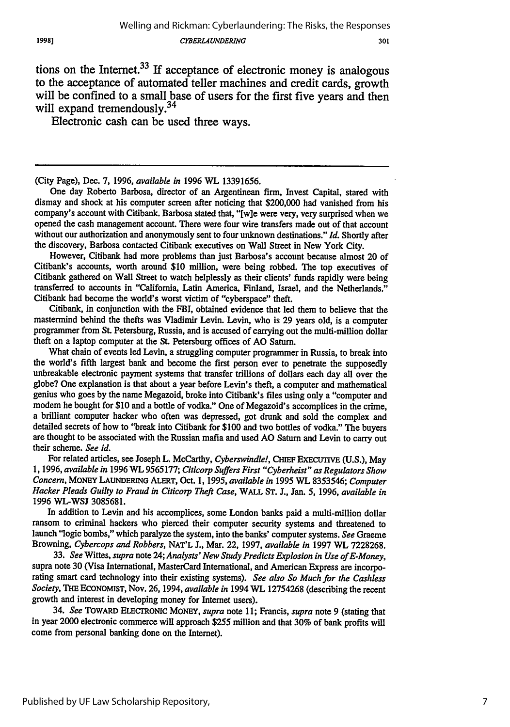tions on the Internet. $33$  If acceptance of electronic money is analogous to the acceptance of automated teller machines and credit cards, growth will be confined to a small base of users for the first five years and then will expand tremendously.<sup>34</sup>

Electronic cash can be used three ways.

(City Page), Dec. 7, 1996, *available in* 1996 WL 13391656.

One day Roberto Barbosa, director of an Argentinean firm, Invest Capital, stared with dismay and shock at his computer screen after noticing that \$200,000 had vanished from his company's account with Citibank. Barbosa stated that, "[w]e were very, very surprised when we opened the cash management account. There were four wire transfers made out of that account without our authorization and anonymously sent to four unknown destinations." *Id.* Shortly after the discovery, Barbosa contacted Citibank executives on Wall Street in New York City.

However, Citibank had more problems than just Barbosa's account because almost 20 of Citibank's accounts, worth around \$10 million, were being robbed. The top executives of Citibank gathered on Wall Street to watch helplessly as their clients' funds rapidly were being transferred to accounts in "California, Latin America, Finland, Israel, and the Netherlands." Citibank had become the world's worst victim of "cyberspace" theft.

Citibank, in conjunction with the FBI, obtained evidence that led them to believe that the mastermind behind the thefts was Vladimir Levin. Levin, who is 29 years old, is a computer programmer from **St.** Petersburg, Russia, and is accused of carrying out the multi-million dollar theft on a laptop computer at the St. Petersburg offices of AO Saturn.

What chain of events led Levin, a struggling computer programmer in Russia, to break into the world's fifth largest bank and become the first person ever to penetrate the supposedly unbreakable electronic payment systems that transfer trillions of dollars each day all over the globe? One explanation is that about a year before Levin's theft, a computer and mathematical genius who goes by the name Megazoid, broke into Citibank's files using only a "computer and modem he bought for \$10 and a bottle of vodka." One of Megazoid's accomplices in the crime, a brilliant computer hacker who often was depressed, got drunk and sold the complex and detailed secrets of how to "break into Citibank for \$100 and two bottles of vodka." The buyers are thought to be associated with the Russian mafia and used AO Saturn and Levin to carry out their scheme. *See id.*

For related articles, see Joseph L. McCarthy, *Cyberswindle!,* CHIEF **EXECUTIVE** (U.S.), May 1, 1996, *available in* 1996 WL 9565177; *Citicorp Suffers First "Cyberheist" as Regulators Show Concern,* MONEY **LAUNDERING** ALERT, Oct. 1, 1995, *available in* 1995 WL 8353546; *Computer Hacker Pleads Guilty to Fraud in Citicorp Theft Case,* WALL ST. J., Jan. 5, 1996, *available in* **1996** WL-WSJ 3085681.

In addition to Levin and his accomplices, some London banks paid a multi-million dollar ransom to criminal hackers who pierced their computer security systems and threatened to launch "logic bombs," which paralyze the system, into the banks' computer systems. *See* Graeme Browning, *Cybercops and Robbers,* **NAT'L J.,** Mar. 22, 1997, *available in* 1997 WL 7228268.

33. *See* Wittes, *supra* note 24; *Analysts' New Study Predicts Explosion in Use of E-Money,* supra note 30 (Visa International, MasterCard International, and American Express are incorporating smart card technology into their existing systems). *See also So Much for the Cashless Society,* THE **ECONOMIST,** Nov. 26, 1994, *available in* 1994 WL 12754268 (describing the recent growth and interest in developing money for Internet users).

34. *See* TOWARD ELECTRONIC MONEY, *supra* note **11;** Francis, *supra* note 9 (stating that in year 2000 electronic commerce will approach \$255 million and that 30% of bank profits will come from personal banking done on the Internet).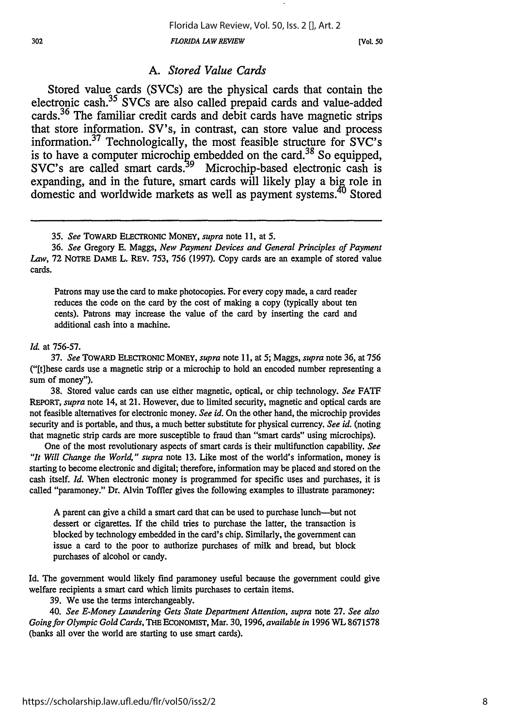# *A. Stored Value Cards*

Stored value cards (SVCs) are the physical cards that contain the electronic **cash.35** SVCs are also called prepaid cards and value-added cards.<sup>36</sup> The familiar credit cards and debit cards have magnetic strips that store information. SV's, in contrast, can store value and process information.<sup>37</sup> Technologically, the most feasible structure for SVC's is to have a computer microchip embedded on the card.<sup>38</sup> So equipped, SVC's are called smart cards.<sup>39</sup> Microchip-based electronic cash is expanding, and in the future, smart cards will likely play a big role in domestic and worldwide markets as well as payment systems. $^{40}$  Stored

Patrons may use the card to make photocopies. For every copy made, a card reader reduces the code on the card by the cost of making a copy (typically about ten cents). Patrons may increase the value of the card by inserting the card and additional cash into a machine.

### *Id.* at 756-57.

37. *See* TOWARD **ELECTRONIC** MONEY, *supra* note 11, at 5; Maggs, *supra* note 36, at 756 ("[tihese cards use a magnetic strip or a microchip to hold an encoded number representing a sum of money").

38. Stored value cards can use either magnetic, optical, or chip technology. *See* FATF REPORT, *supra* note 14, at 21. However, due to limited security, magnetic and optical cards are not feasible alternatives for electronic money. *See id.* On the other hand, the microchip provides security and is portable, and thus, a much better substitute for physical currency. *See id.* (noting that magnetic strip cards are more susceptible to fraud than "smart cards" using microchips).

One of the most revolutionary aspects of smart cards is their multifunction capability. *See "It Will Change the World," supra* note 13. Like most of the world's information, money is starting to become electronic and digital; therefore, information may be placed and stored on the cash itself. *Id.* When electronic money is programmed for specific uses and purchases, it is called "paramoney." Dr. Alvin Toffler gives the following examples to illustrate paramoney:

A parent can give a child a smart card that can be used to purchase lunch-but not dessert or cigarettes. If the child tries to purchase the latter, the transaction is blocked by technology embedded in the card's chip. Similarly, the government can issue a card to the poor to authorize purchases of milk and bread, but block purchases of alcohol or candy.

Id. The government would likely find paramoney useful because the government could give welfare recipients a smart card which limits purchases to certain items.

**39.** We use the terms interchangeably.

40. *See E-Money Laundering Gets State Department Attention, supra* note 27. *See also Going for Olympic Gold Cards,* THE **ECONOMIST,** Mar. 30, 1996, *available in* 1996 WL 8671578 (banks all over the world are starting to use smart cards).

<sup>35.</sup> *See* TOWARD ELECTRONIC MONEY, *supra* note 11, at 5.

<sup>36.</sup> *See* Gregory E. Maggs, *New Payment Devices and General Principles of Payment Law,* 72 NOTRE **DAME** L. REv. 753, 756 (1997). Copy cards are an example of stored value cards.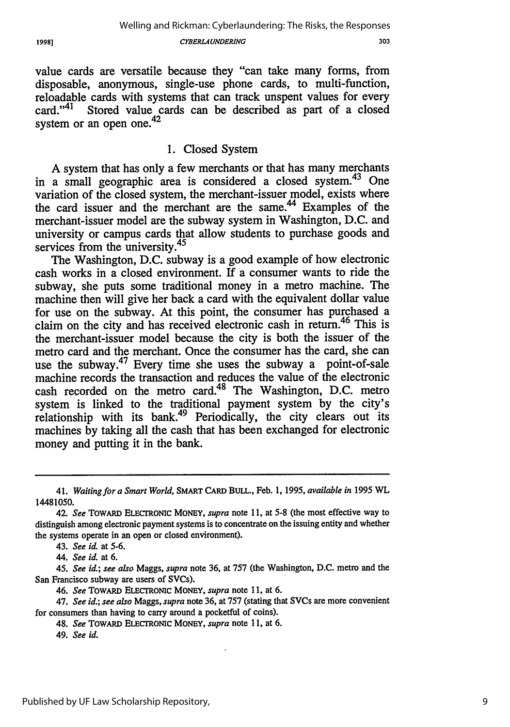วกว

value cards are versatile because they "can take many forms, from disposable, anonymous, single-use phone cards, to multi-function, reloadable cards with systems that can track unspent values for every card "41 Stored value cards can be described as part of a closed Stored value cards can be described as part of a closed system or an open one.<sup>42</sup>

# 1. Closed System

A system that has only a few merchants or that has many merchants in a small geographic area is considered a closed system.<sup>43</sup> One variation of the closed system, the merchant-issuer model, exists where the card issuer and the merchant are the same.<sup>44</sup> Examples of the merchant-issuer model are the subway system in Washington, D.C. and university or campus cards that allow students to purchase goods and services from the university.<sup>45</sup>

The Washington, D.C. subway is a good example of how electronic cash works in a closed environment. If a consumer wants to ride the subway, she puts some traditional money in a metro machine. The machine then will give her back a card with the equivalent dollar value for use on the subway. At this point, the consumer has purchased a claim on the city and has received electronic cash in return. 46 This is the merchant-issuer model because the city is both the issuer of the metro card and the merchant. Once the consumer has the card, she can use the subway. $47$  Every time she uses the subway a point-of-sale machine records the transaction and reduces the value of the electronic cash recorded on the metro card.<sup>48</sup> The Washington, D.C. metro system is linked to the traditional payment system by the city's relationship with its bank.<sup>49</sup> Periodically, the city clears out its machines by taking all the cash that has been exchanged for electronic money and putting it in the bank.

46. *See* TOWARD ELECTRONIc MONEY, *supra* note 11, at 6.

47. *See id.; see also* Maggs, *supra* note 36, at 757 (stating that SVCs are more convenient for consumers than having to carry around a pocketful of coins).

48. *See* TOWARD ELECTRONIC MONEY, *supra* note 11, at 6.

49. *See id.*

<sup>41.</sup> *Waiting for a Smart World,* SMART CARD BULL., Feb. 1, *1995, available in* 1995 WL 14481050.

<sup>42.</sup> *See* TOWARD ELECrRONIC MONEY, *supra* note **11,** at 5-8 (the most effective way to distinguish among electronic payment systems is to concentrate on the issuing entity and whether the systems operate in an open or closed environment).

<sup>43.</sup> *See* id, at 5-6.

*<sup>44.</sup> See id.* at 6.

<sup>45.</sup> *See id.; see also* Maggs, *supra* note 36, at 757 (the Washington, D.C. metro and the San Francisco subway are users of SVCs).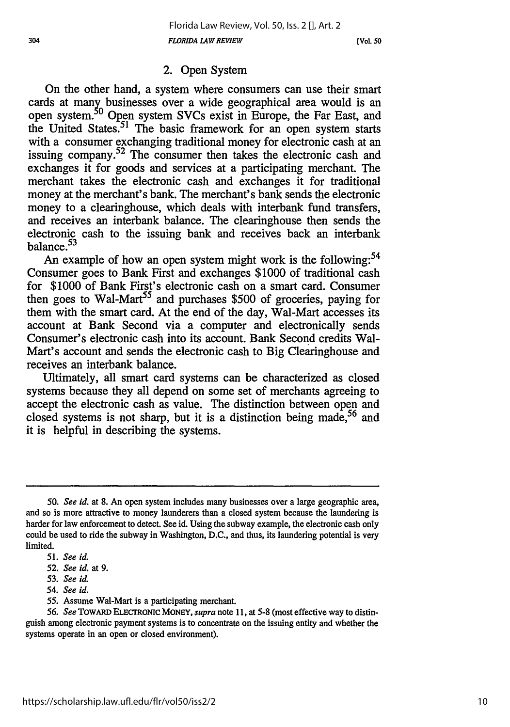# 2. Open System

On the other hand, a system where consumers can use their smart cards at many businesses over a wide geographical area would is an open system. **0** Open system SVCs exist in Europe, the Far East, and the United States.<sup>51</sup> The basic framework for an open system starts with a consumer exchanging traditional money for electronic cash at an issuing company.<sup>52</sup> The consumer then takes the electronic cash and exchanges it for goods and services at a participating merchant. The merchant takes the electronic cash and exchanges it for traditional money at the merchant's bank. The merchant's bank sends the electronic money to a clearinghouse, which deals with interbank fund transfers, and receives an interbank balance. The clearinghouse then sends the electronic cash to the issuing bank and receives back an interbank balance.<sup>53</sup>

An example of how an open system might work is the following:<sup>54</sup> Consumer goes to Bank First and exchanges \$1000 of traditional cash for \$1000 of Bank First's electronic cash on a smart card. Consumer then goes to Wal-Mart<sup>55</sup> and purchases \$500 of groceries, paying for them with the smart card. At the end of the day, Wal-Mart accesses its account at Bank Second via a computer and electronically sends Consumer's electronic cash into its account. Bank Second credits Wal-Mart's account and sends the electronic cash to Big Clearinghouse and receives an interbank balance.

Ultimately, all smart card systems can be characterized as closed systems because they all depend on some set of merchants agreeing to accept the electronic cash as value. The distinction between open and closed systems is not sharp, but it is a distinction being made,  $56$  and it is helpful in describing the systems.

**<sup>50.</sup>** *See id.* **at 8.** An open system includes many businesses over a large geographic area, and so is more attractive to money launderers than a closed system because the laundering is harder for law enforcement to detect. See id. Using the subway example, the electronic cash only could be used to ride the subway in Washington, D.C., and thus, its laundering potential is very limited.

<sup>51.</sup> *See id.*

<sup>52.</sup> *See id.* at 9.

**<sup>53.</sup>** *See iL*

<sup>54.</sup> *See id.*

<sup>55.</sup> Assume Wal-Mart is a participating merchant.

<sup>56.</sup> *See* TOWARD ELECrRONIC MONEY, *supra* note 11, at 5-8 (most effective way to distinguish among electronic payment systems is to concentrate on the issuing entity and whether the systems operate in an open or closed environment).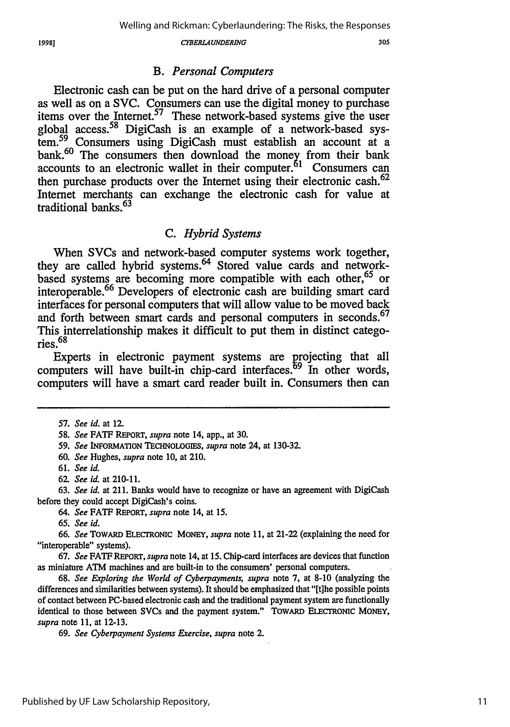**1998]**

## **CYBERLAUNDERING**

## *B. Personal Computers*

Electronic cash can be put on the hard drive of a personal computer as well as on a SVC. Consumers can use the digital money to purchase items over the Internet.<sup>57</sup> These network-based systems give the user global access.58 DigiCash is an example of a network-based system.59 Consumers using DigiCash must establish an account at a bank.<sup>60</sup> The consumers then download the money from their bank accounts to an electronic wallet in their computer. $51$  Consumers can then purchase products over the Internet using their electronic cash.<sup>62</sup> Internet merchants can exchange the electronic cash for value at traditional banks.<sup>63</sup>

# *C. Hybrid Systems*

When SVCs and network-based computer systems work together, they are called hybrid systems.<sup>64</sup> Stored value cards and networkbased systems are becoming more compatible with each other,<sup>65</sup> or interoperable. 66 Developers of electronic cash are building smart card interfaces for personal computers that will allow value to be moved back and forth between smart cards and personal computers in seconds.<sup>67</sup> This interrelationship makes it difficult to put them in distinct categories.<sup>68</sup>

Experts in electronic payment systems are projecting that all computers will have built-in chip-card interfaces.<sup> $69$ </sup> In other words, computers will have a smart card reader built in. Consumers then can

59. *See* INFORMATION TECHNOLOGIES, *supra* note 24, at 130-32.

60. *See* Hughes, *supra* note 10, at 210.

62. *See id.* at 210-11.

63. *See id.* at 211. Banks would have to recognize or have an agreement with DigiCash before they could accept DigiCash's coins.

64. *See* FATF **REPORT,** *supra* note 14, at 15.

**65.** *See id.*

66. *See* TOWARD ELECrRONIC MONEY, *supra* note 11, at 21-22 (explaining the need for "interoperable" systems).

67. *See* FATF **REPORT,** *supra* note 14, at 15. Chip-card interfaces are devices that function as miniature ATM machines and are built-in to the consumers' personal computers.

68. *See Exploring the World of Cyberpayments, supra* note 7, at 8-10 (analyzing the differences and similarities between systems). It should be emphasized that "[tihe possible points of contact between PC-based electronic cash and the traditional payment system are functionally identical to those between SVCs and the payment system." TOWARD ELECTRONIC MONEY, *supra* note 11, at 12-13.

69. *See Cyberpayment Systems Exercise, supra* note 2.

<sup>57.</sup> *See id.* at 12.

**<sup>58.</sup>** *See* FATF **REPORT,** *supra* note 14, app., at 30.

<sup>61.</sup> *See id.*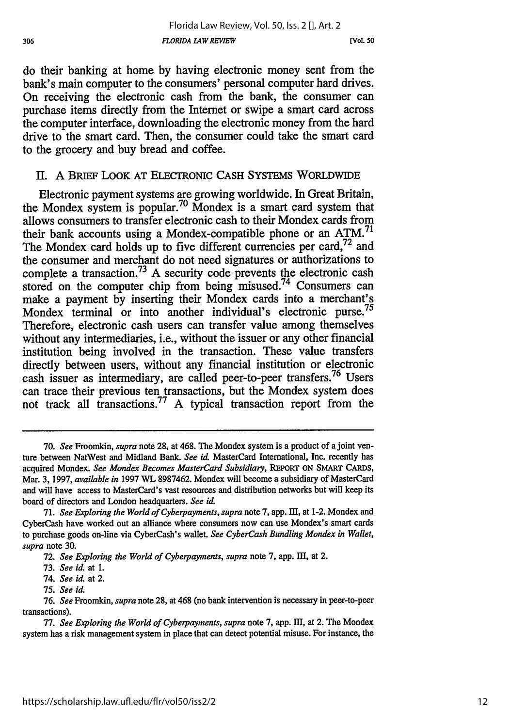**[Vol 50**

do their banking at home by having electronic money sent from the bank's main computer to the consumers' personal computer hard drives. On receiving the electronic cash from the bank, the consumer can purchase items directly from the Internet or swipe a smart card across the computer interface, downloading the electronic money from the hard drive to the smart card. Then, the consumer could take the smart card to the grocery and buy bread and coffee.

# **II. A** BRIEF LOOK **AT** ELECTRONIC CASH **SYSTEMS** WORLDWIDE

Electronic payment systems are growing worldwide. In Great Britain, the Mondex system is popular.70 Mondex is a smart card system that allows consumers to transfer electronic cash to their Mondex cards from their bank accounts using a Mondex-compatible phone or an  $ATM$ .<sup>71</sup> The Mondex card holds up to five different currencies per card,<sup>72</sup> and the consumer and merchant do not need signatures or authorizations to complete a transaction.<sup>73</sup> A security code prevents the electronic cash stored on the computer chip from being misused.<sup>74</sup> Consumers can make a payment by inserting their Mondex cards into a merchant's Mondex terminal or into another individual's electronic purse.<sup>75</sup> Therefore, electronic cash users can transfer value among themselves without any intermediaries, i.e., without the issuer or any other financial institution being involved in the transaction. These value transfers directly between users, without any financial institution or electronic cash issuer as intermediary, are called peer-to-peer transfers.<sup>76</sup> Users can trace their previous ten transactions, but the Mondex system does not track all transactions.<sup>77</sup> A typical transaction report from the

<sup>70.</sup> *See* Froomkin, *supra* note **28,** at 468. The Mondex system is a product of a joint venture between NatWest and Midland Bank. See id. MasterCard International, Inc. recently has acquired Mondex. *See Mondex Becomes MasterCard Subsidiary,* REPORT **ON SMART** CARDS, Mar. 3, 1997, *available in* 1997 WL 8987462. Mondex will become a subsidiary of MasterCard and will have access to MasterCard's vast resources and distribution networks but will keep its board of directors and London headquarters. *See id.*

<sup>71.</sup> *See Exploring the World of Cyberpayments, supra* note 7, app. **I,** at 1-2. Mondex and CyberCash have worked out an alliance where consumers now can use Mondex's smart cards to purchase goods on-line via CyberCash's wallet. *See CyberCash Bundling Mondex in Wallet, supra* note 30.

<sup>72.</sup> *See Exploring the World of Cyberpayments, supra* note 7, app. III, at 2.

<sup>73.</sup> *See id.* at 1.

<sup>74.</sup> *See id.* at 2.

<sup>75.</sup> *See id.*

**<sup>76.</sup>** *See* Froomldn, *supra* note **28,** at 468 (no bank intervention is necessary in peer-to-peer transactions).

<sup>77.</sup> *See Exploring the World of Cyberpayments, supra* note 7, app. III, at 2. The Mondex system has a risk management system in place that can detect potential misuse. For instance, the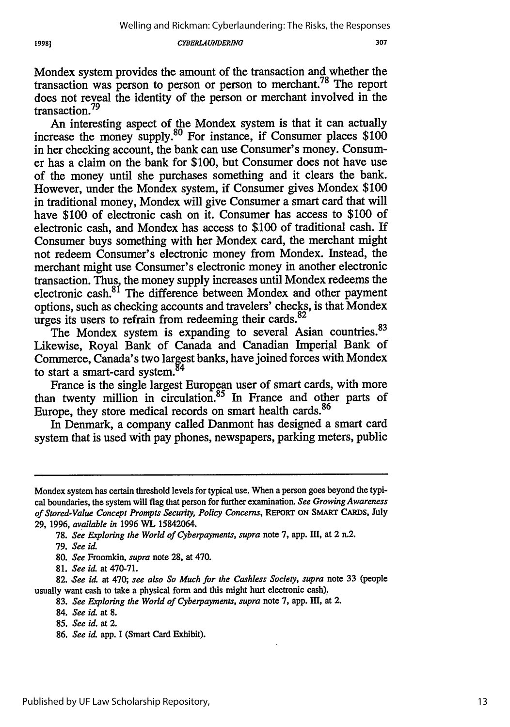Mondex system provides the amount of the transaction and whether the transaction was person to person or person to merchant. 78 The report does not reveal the identity of the person or merchant involved in the transaction.<sup>79</sup>

An interesting aspect of the Mondex system is that it can actually increase the money supply.<sup>80</sup> For instance, if Consumer places  $$100$ in her checking account, the bank can use Consumer's money. Consumer has a claim on the bank for \$100, but Consumer does not have use of the money until she purchases something and it clears the bank. However, under the Mondex system, if Consumer gives Mondex \$100 in traditional money, Mondex will give Consumer a smart card that will have \$100 of electronic cash on it. Consumer has access to \$100 of electronic cash, and Mondex has access to \$100 of traditional cash. If Consumer buys something with her Mondex card, the merchant might not redeem Consumer's electronic money from Mondex. Instead, the merchant might use Consumer's electronic money in another electronic transaction. Thus, the money supply increases until Mondex redeems the electronic cash.<sup>81</sup> The difference between Mondex and other payment options, such as checking accounts and travelers' checks, is that Mondex urges its users to refrain from redeeming their cards.<sup>82</sup>

The Mondex system is expanding to several Asian countries.<sup>83</sup> Likewise, Royal Bank of Canada and Canadian Imperial Bank of Commerce, Canada's two largest banks, have joined forces with Mondex to start a smart-card system.<sup>84</sup>

France is the single largest European user of smart cards, with more than twenty million in circulation. 85 In France and other parts of Europe, they store medical records on smart health cards.<sup>86</sup>

In Denmark, a company called Danmont has designed a smart card system that is used with pay phones, newspapers, parking meters, public

79. *See id.*

81. *See id.* at 470-71.

Mondex system has certain threshold levels for typical use. When a person goes beyond the typical boundaries, the system will flag that person for further examination. *See Growing Awareness of Stored-Value Concept Prompts Security, Policy Concerns,* REPORT **ON** SMART CARDS, July 29, 1996, *available in* 1996 WL 15842064.

<sup>78.</sup> *See Exploring the World of Cyberpayments, supra* note 7, app. 1H, at 2 n.2.

<sup>80.</sup> *See* Froomkin, *supra* note 28, at 470.

**<sup>82.</sup>** *See id.* at 470; *see also So Much for the Cashless Society, supra* note 33 (people usually want cash to take a physical form and this might hurt electronic cash).

<sup>83.</sup> *See Exploring the World of Cyberpayments, supra* note 7, app. **In,** at 2.

<sup>84.</sup> *See id.* at 8.

<sup>85.</sup> *See id.* at 2.

<sup>86.</sup> *See id.* app. I (Smart Card Exhibit).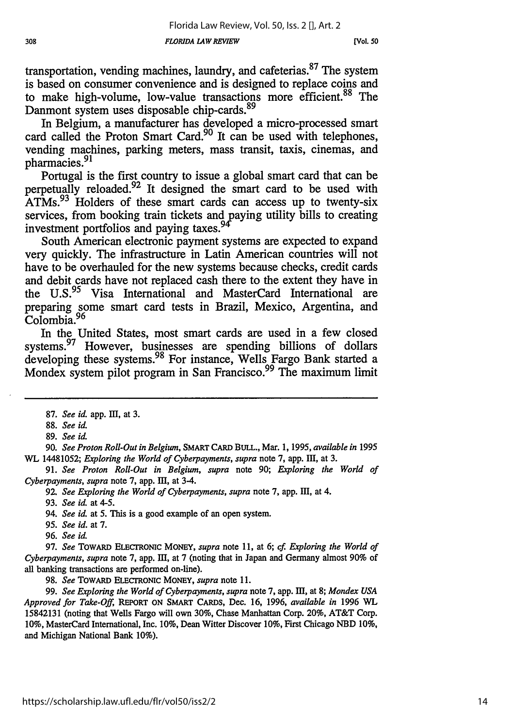**[Vol. 50**

transportation, vending machines, laundry, and cafeterias. 87 The system is based on consumer convenience and is designed to replace coins and to make high-volume, low-value transactions more efficient.<sup>88</sup> The Danmont system uses disposable chip-cards. <sup>89</sup>

In Belgium, a manufacturer has developed a micro-processed smart card called the Proton Smart Card.<sup>90</sup> It can be used with telephones, vending machines, parking meters, mass transit, taxis, cinemas, and pharmacies. <sup>91</sup>

Portugal is the first country to issue a global smart card that can be perpetually reloaded.<sup>92</sup> It designed the smart card to be used with  $ATMs$ <sup>93</sup> Holders of these smart cards can access up to twenty-six services, from booking train tickets and paying utility bills to creating investment portfolios and paying taxes.  $94$ 

South American electronic payment systems are expected to expand very quickly. The infrastructure in Latin American countries will not have to be overhauled for the new systems because checks, credit cards and debit cards have not replaced cash there to the extent they have in the U.S.<sup>95</sup> Visa International and MasterCard International are preparing some smart card tests in Brazil, Mexico, Argentina, and Colombia.<sup>96</sup>

In the United States, most smart cards are used in a few closed systems.<sup>97</sup> However, businesses are spending billions of dollars developing these systems.<sup>98</sup> For instance, Wells Fargo Bank started a Mondex system pilot program in San Francisco.<sup>99</sup> The maximum limit

**90.** *See Proton Roll-Out in Belgium,* SMART CARD **BULL.,** Mar. **1, 1995,** *available in* 1995 WL 14481052; *Exploring the World of Cyberpayments, supra* note 7, app. III, at 3.

91. *See Proton Roll-Out in Belgium, supra* note 90; *Exploring the World of Cyberpayments, supra* note 7, app. **Ill,** at 3-4.

92. *See Exploring the World of Cyberpayments, supra* note 7, app. III, at 4.

93. *See idl* at 4-5.

94. *See id.* at 5. This is a good example of an open system.

- 95. *See id.* at 7.
- 96. *See id.*

**97.** *See* TOWARD ELECrRoNIc MONEY, *supra* note **11,** at **6;** *cf. Exploring the World of Cyberpayments, supra* note 7, app. III, at 7 (noting that in Japan and Germany almost 90% of all banking transactions are performed on-line).

98. *See* TowARD ELECrRONIC MONEY, *supra* note 11.

**99.** *See Exploring the World of Cyberpayments, supra* note 7, app. m, at 8; *Mondex USA Approved for Take-Off,* REPORT **ON** SMART CARDS, Dec. 16, 1996, *available in* 1996 WL 15842131 (noting that Wells Fargo will own 30%, Chase Manhattan Corp. 20%, AT&T Corp. 10%, MasterCard International, Inc. 10%, Dean Witter Discover 10%, First Chicago NBD 10%, and Michigan National Bank 10%).

<sup>87.</sup> *See id.* app. Im, at 3.

<sup>88.</sup> *See id.*

<sup>89.</sup> *See id.*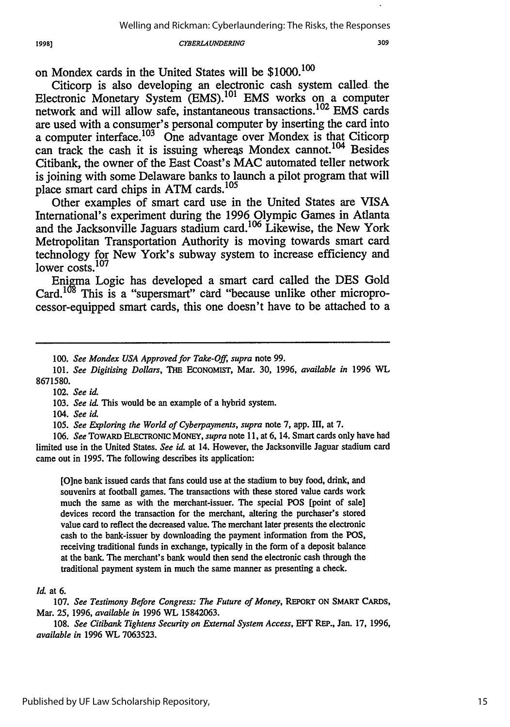309

on Mondex cards in **the** United States will be **\$1000.100**

Citicorp is also developing an electronic cash system called the Electronic Monetary System **(EMS). 101 EMS** works on a computer network and will allow safe, instantaneous transactions.<sup>102</sup> EMS cards are used with a consumer's personal computer **by** inserting the card into a computer interface.<sup>103</sup> One advantage over Mondex is that Citicorp can track the cash it is issuing whereas Mondex cannot.<sup>104</sup> Besides Citibank, the owner of the East Coast's **MAC** automated teller network is joining with some Delaware banks to launch a pilot program that will place smart card chips in ATM cards.<sup>105</sup>

Other examples of smart card use in the United States are VISA International's experiment during the **1996** Olympic Games in Atlanta and the Jacksonville Jaguars stadium card.<sup>106</sup> Likewise, the New York Metropolitan Transportation Authority is moving towards smart card technology for New York's subway system to increase efficiency and lower costs.<sup>107</sup>

**Enigma** Logic has developed a smart card called the **DES** Gold  $Card.<sup>108</sup>$  This is a "supersmart" card "because unlike other microprocessor-equipped smart cards, this one doesn't have to be attached to a

- 101. *See Digitising Dollars,* **THE ECONOMIST,** Mar. 30, 1996, *available in* 1996 WL 8671580.
	- 102. *See id.*

104. *See id.*

*105. See Exploring the World of Cyberpayments, supra* note 7, app. Ill, at 7.

106. *See* TOWARD ELECTRONIC MONEY, *supra* note 11, at 6, 14. Smart cards only have had limited use in the United States. *See id* at 14. However, the Jacksonville Jaguar stadium card came out in 1995. The following describes its application:

[O]ne bank issued cards that fans could use at the stadium to buy food, drink, and souvenirs at football games. The transactions with these stored value cards work much the same as with the merchant-issuer. The special **POS** [point of sale] devices record the transaction for the merchant, altering the purchaser's stored value card to reflect the decreased value. The merchant later presents the electronic cash to the bank-issuer by downloading the payment information from the POS, receiving traditional funds in exchange, typically in the form of a deposit balance at the bank. The merchant's bank would then send the electronic cash through the traditional payment system in much the same manner as presenting a check.

#### *Id.* at 6.

107. *See Testimony Before Congress: The Future of Money,* **REPORT ON SMART** CARDS, Mar. 25, 1996, *available in* 1996 WL 15842063.

108. *See Citibank Tightens Security on External System Access,* **EFT** REP., Jan. 17, 1996, *available in* 1996 WL 7063523.

<sup>100.</sup> *See Mondex USA Approved for Take-Off, supra* note 99.

<sup>103.</sup> *See id.* This would be an example of a hybrid system.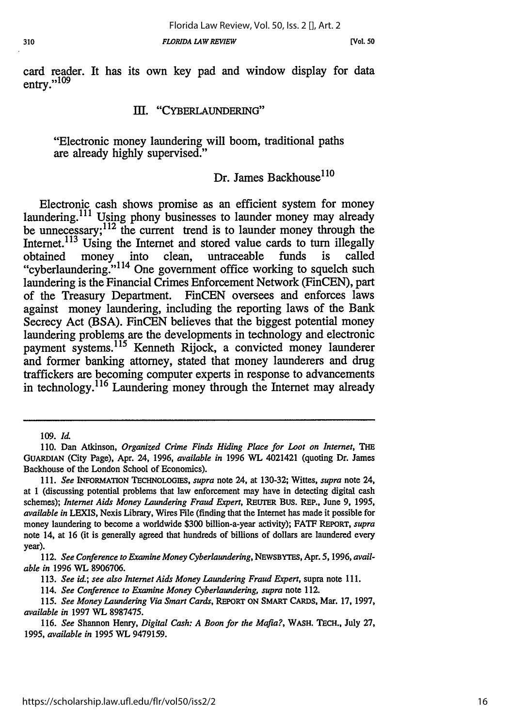card reader. It has its own key pad and window display for data entry." $109$ 

## III. "CYBERLAUNDERING"

"Electronic money laundering will boom, traditional paths are already **highly** supervised."

# Dr. James Backhouse<sup>110</sup>

Electronic cash shows promise as an efficient system for money laundering.<sup>111</sup> Using phony businesses to launder money may already be unnecessary;  $1^{12}$  the current trend is to launder money through the Internet.<sup>113</sup> Using the Internet and stored value cards to turn illegally obtained money into clean, untraceable funds is called obtained money into clean, untraceable funds is called "cyberlaundering."<sup>114</sup> One government office working to squelch such laundering is the Financial Crimes Enforcement Network (FinCEN), part of the Treasury Department. FinCEN oversees and enforces laws against money laundering, including the reporting laws of the Bank Secrecy Act **(BSA).** FinCEN believes that the biggest potential money laundering problems are the developments in technology and electronic payment systems. 115 Kenneth Rijock, a convicted money launderer and former banking attorney, stated that money launderers and drug traffickers are becoming computer experts in response to advancements in technology.<sup>116</sup> Laundering money through the Internet may already

<sup>109.</sup> Id

<sup>110.</sup> Dan Atidnson, *Organized Crime Finds Hiding Place for Loot on Internet,* **THE GUARDIAN** (City Page), Apr. 24, 1996, *available in* 1996 WL 4021421 (quoting Dr. James Backhouse of the London School of Economics).

<sup>111.</sup> *See* INFORMATION **TECHNOLOGIES,** *supra* note 24, at **130-32;** Wittes, *supra* note 24, at **1** (discussing potential problems that law enforcement may have in detecting digital cash schemes); *Internet Aids Money Laundering Fraud Expert,* **REUTER** Bus. **REP.,** June 9, 1995, *available in* LEXIS, Nexis Library, Wires File (finding that the Internet has made it possible for money laundering to become a worldwide **\$300** billion-a-year activity); FATF REPORT, *supra* note 14, at 16 (it is generally agreed that hundreds of billions of dollars are laundered every year).

<sup>112.</sup> *See Conference to Examine Money Cyberlaundering,* NEWSBYTES, Apr. 5, 1996, *available in* 1996 WL 8906706.

<sup>113.</sup> *See id.; see also Internet Aids Money Laundering Fraud Expert,* supra note 111.

<sup>114.</sup> *See Conference to Examine Money Cyberlaundering, supra* note 112.

*<sup>115.</sup> See Money Laundering Via Smart Cards,* REPORT ON SMART CARDS, Mar. 17, 1997, *available in* 1997 WL 8987475.

<sup>116.</sup> *See* Shannon **Henry,** *Digital Cash: A Boon for the Mafia?,* WASH. **TECH.,** July 27, 1995, *available in* **1995 WL 9479159.**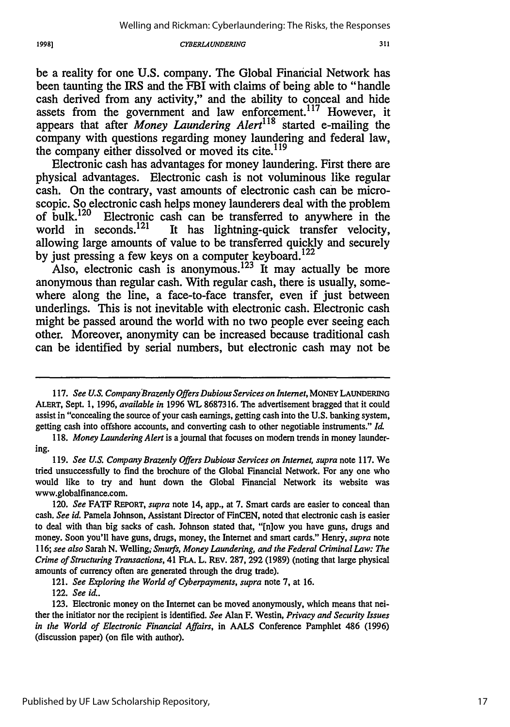be a reality for one **U.S.** company. The Global Financial Network has been taunting the IRS and the FBI with claims of being able to "handle cash derived from any activity," and the ability to conceal and hide assets from the government and law enforcement.<sup>117</sup> However, it appears that after *Money Laundering Alert*<sup>118</sup> started e-mailing the company with questions regarding money laundering and federal law, the company either dissolved or moved its cite.<sup>119</sup>

Electronic cash has advantages for money laundering. First there are physical advantages. Electronic cash is not voluminous like regular cash. On the contrary, vast amounts of electronic cash **can** be microscopic. So electronic cash helps money launderers deal with the problem<br>of bulk.<sup>120</sup> Electronic cash can be transferred to anywhere in the of bulk.<sup>120</sup> Electronic cash can be transferred to anywhere in the world in seconds.<sup>121</sup> It has lightning-quick transfer velocity. It has lightning-quick transfer velocity, allowing large amounts of value to be transferred quickly and securely by just pressing a few keys on a computer keyboard.<sup>122</sup>

Also, electronic cash is anonymous.<sup>123</sup> It may actually be more anonymous than regular cash. With regular cash, there is usually, somewhere along the line, a face-to-face transfer, even if just between underlings. This is not inevitable with electronic cash. Electronic cash might be passed around the world with no two people ever seeing each other. Moreover, anonymity can be increased because traditional cash can be identified **by** serial numbers, but electronic cash may not be

122. *See id..*

<sup>117.</sup> *See U.S. Company'Brazenly Offers Dubious Services on Internet,* **MONEY LAUNDERING ALERT,** Sept. 1, 1996, *available in* 1996 WL 8687316. The advertisement bragged that it could assist in "concealing the source of your cash earnings, getting cash into the U.S. banking system, getting cash into offshore accounts, and converting cash to other negotiable instruments." *Id*

*<sup>118.</sup> Money* Laundering *Alert* is a journal that focuses on modem trends in money laundering.

<sup>119.</sup> *See U.S. Company Brazenly Offers Dubious Services on Internet, supra* note 117. We tried unsuccessfully to find the brochure of the Global Financial Network. For any one who would like to try and hunt down the Global Financial Network its website was www.globalfinance.com.

<sup>120.</sup> *See* FATF **REPORT,** *supra* note 14, app., at 7. Smart cards are easier to conceal than cash. *See id.* Pamela Johnson, Assistant Director of FinCEN, noted that electronic cash is easier to deal with than big sacks of cash. Johnson stated that, "[n]ow you have guns, drugs and money. Soon you'll have guns, drugs, money, the Internet and smart cards." Henry, *supra* note 116; *see also* Sarah N. Welling; *Smurfs, Money Laundering, and the Federal Criminal Law: The Crime of Structuring Transactions,* 41 FLA. L. REV. 287, 292 (1989) (noting that large physical amounts of currency often are generated through the drug trade).

<sup>121.</sup> *See Exploring the World of Cyberpayments, supra* note 7, at 16.

<sup>123.</sup> Electronic money on the Internet can be moved anonymously, which means that neither the initiator nor the recipient is identified. *See* Alan F. Westin, *Privacy and Security Issues in the World of Electronic Financial Affairs,* in AALS Conference Pamphlet 486 (1996) (discussion paper) (on file with author).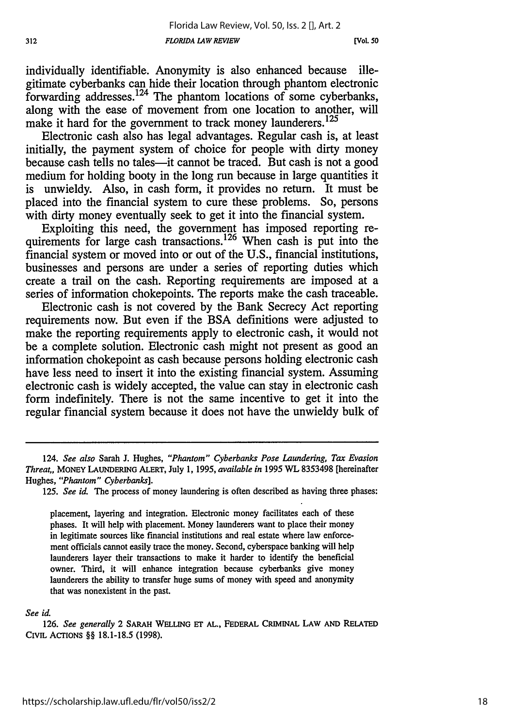[Vol. **50**

individually identifiable. Anonymity is also enhanced because illegitimate cyberbanks can hide their location through phantom electronic forwarding addresses.<sup>124</sup> The phantom locations of some cyberbanks, along with the ease of movement from one location to another, will make it hard for the government to track money launderers.<sup>125</sup>

Electronic cash also has legal advantages. Regular cash is, at least initially, the payment system of choice for people with dirty money because cash tells no tales-it cannot be traced. But cash is not a good medium for holding booty in the long run because in large quantities it is unwieldy. Also, in cash form, it provides no return. It must be placed into the financial system to cure these problems. So, persons with dirty money eventually seek to get it into the financial system.

Exploiting this need, the government has imposed reporting requirements for large cash transactions.<sup>126</sup> When cash is put into the financial system or moved into or out of the U.S., financial institutions, businesses and persons are under a series of reporting duties which create a trail on the cash. Reporting requirements are imposed at a series of information chokepoints. The reports make the cash traceable.

Electronic cash is not covered by the Bank Secrecy Act reporting requirements now. But even if the BSA definitions were adjusted to make the reporting requirements apply to electronic cash, it would not be a complete solution. Electronic cash might not present as good an information chokepoint as cash because persons holding electronic cash have less need to insert it into the existing financial system. Assuming electronic cash is widely accepted, the value can stay in electronic cash form indefinitely. There is not the same incentive to get it into the regular financial system because it does not have the unwieldy bulk of

placement, layering and integration. Electronic money facilitates each of these phases. It will help with placement. Money launderers want to place their money in legitimate sources like financial institutions and real estate where law enforcement officials cannot easily trace the money. Second, cyberspace banking will help launderers layer their transactions to make it harder to identify the beneficial owner. Third, it will enhance integration because cyberbanks give money launderers the ability to transfer huge sums of money with speed and anonymity that was nonexistent in the past.

#### *See id.*

**126.** *See generally* 2 **SARAH** WELLING **ET AL.,** FEDERAL CRIMINAL **LAW AND RELATED** CIVIL ACTIONS §§ 18.1-18.5 (1998).

<sup>124.</sup> *See also* Sarah J. Hughes, *"Phantom" Cyberbanks Pose Laundering, Tax Evasion Threat,,* MoNEY LAUNDERING ALERT, July 1, 1995, *available in* 1995 WL 8353498 [hereinafter Hughes, *"Phantom" Cyberbanks].*

<sup>125.</sup> *See id. The* process of money laundering is often described as having three phases: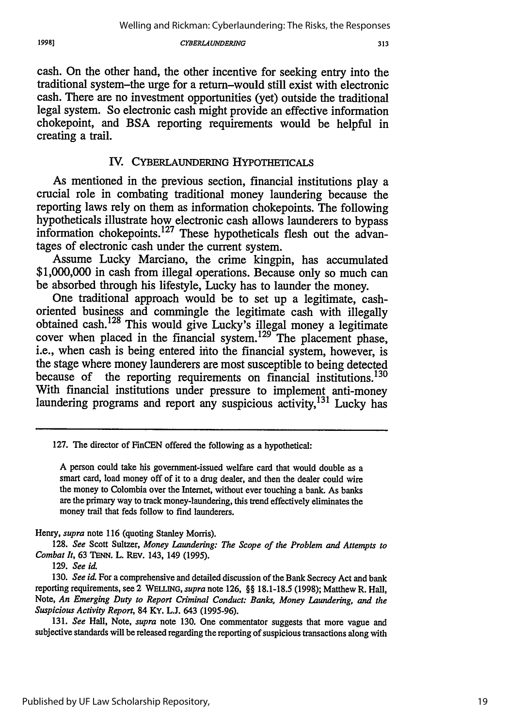cash. On the other hand, the other incentive for seeking entry into the traditional system-the urge for a return-would still exist with electronic cash. There are no investment opportunities (yet) outside the traditional legal system. So electronic cash might provide an effective information chokepoint, and BSA reporting requirements would be helpful in creating a trail.

## IV. CYBERLAUNDERING HYPOTHETICALS

As mentioned in the previous section, financial institutions play a crucial role in combating traditional money laundering because the reporting laws rely on them as information chokepoints. The following hypotheticals illustrate how electronic cash allows launderers to bypass information chokepoints.<sup>127</sup> These hypotheticals flesh out the advantages of electronic cash under the current system.

Assume Lucky Marciano, the crime kingpin, has accumulated \$1,000,000 in cash from illegal operations. Because only so much can be absorbed through his lifestyle, Lucky has to launder the money.

One traditional approach would be to set up a legitimate, cashoriented business and commingle the legitimate cash with illegally obtained cash. 128 This would give Lucky's illegal money a legitimate cover when placed in the financial system.<sup>129</sup> The placement phase, i.e., when cash is being entered into the financial system, however, is the stage where money launderers are most susceptible to being detected because of the reporting requirements on financial institutions.<sup>130</sup> With financial institutions under pressure to implement anti-money laundering programs and report any suspicious activity,  $131$  Lucky has

**127.** The director of FinCEN offered the following as a hypothetical:

A person could take his government-issued welfare card that would double as a smart card, load money off of it to a drug dealer, and then the dealer could wire the money to Colombia over the Internet, without ever touching a bank. As banks are the primary way to track money-laundering, this trend effectively eliminates the money trail that feds follow to find launderers.

Henry, *supra* note 116 (quoting Stanley Morris).

128. *See* Scott Sultzer, *Money Laundering: The Scope of the Problem and Attempts to Combat It,* 63 TENN. L. REV. 143, 149 **(1995).**

129. *See id.*

130. *See id,* For a comprehensive and detailed discussion of the Bank Secrecy Act and bank reporting requirements, see 2 WELLiNG, *supra* note 126, §§ 18.1-18.5 (1998); Matthew R. Hall, Note, *An Emerging Duty to Report Criminal Conduct: Banks, Money Laundering, and the Suspicious Activity Report,* 84 KY. L.J. 643 (1995-96).

131. *See* Hall, Note, *supra* note 130. One commentator suggests that more vague and subjective standards will be released regarding the reporting of suspicious transactions along with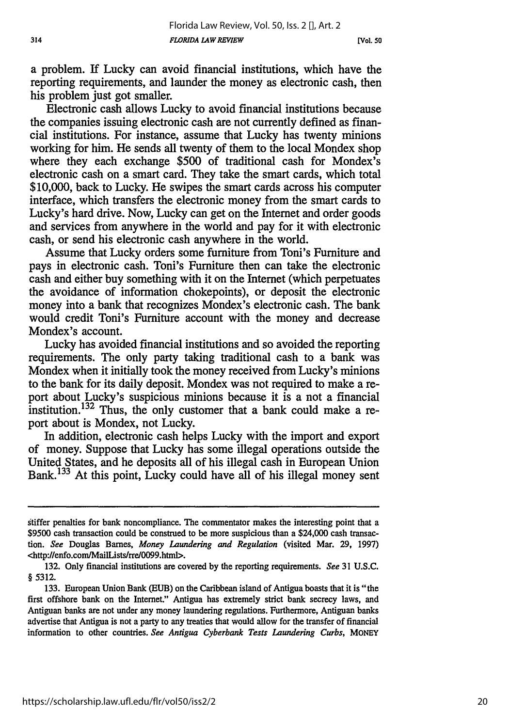a problem. If Lucky can avoid financial institutions, which have the reporting requirements, and launder the money as electronic cash, then his problem just got smaller.

Electronic cash allows Lucky to avoid financial institutions because the companies issuing electronic cash are not currently defined as financial institutions. For instance, assume that Lucky has twenty minions working for him. He sends all twenty of them to the local Mondex shop where they each exchange \$500 of traditional cash for Mondex's electronic cash on a smart card. They take the smart cards, which total \$10,000, back to Lucky. He swipes the smart cards across his computer interface, which transfers the electronic money from the smart cards to Lucky's hard drive. Now, Lucky can get on the Internet and order goods and services from anywhere in the world and pay for it with electronic cash, or send his electronic cash anywhere in the world.

Assume that Lucky orders some furniture from Toni's Furniture and pays in electronic cash. Toni's Furniture then can take the electronic cash and either buy something with it on the Internet (which perpetuates the avoidance of information chokepoints), or deposit the electronic money into a bank that recognizes Mondex's electronic cash. The bank would credit Toni's Furniture account with the money and decrease Mondex's account.

Lucky has avoided financial institutions and so avoided the reporting requirements. The only party taking traditional cash to a bank was Mondex when it initially took the money received from Lucky's minions to the bank for its daily deposit. Mondex was not required to make a report about Lucky's suspicious minions because it is a not a financial institution.<sup>132</sup> Thus, the only customer that a bank could make a report about is Mondex, not Lucky.

In addition, electronic cash helps Lucky with the import and export of money. Suppose that Lucky has some illegal operations outside the United States, and he deposits all of his illegal cash in European Union Bank.<sup>133</sup> At this point, Lucky could have all of his illegal money sent

stiffer penalties for bank noncompliance. The commentator makes the interesting point that a **\$9500** cash transaction could be construed to be more suspicious than a \$24,000 cash transaction. *See* Douglas Barnes, *Money Laundering and Regulation* (visited Mar. **29,** 1997) <http://enfo.comMailLists/rre/0099.html>.

<sup>132.</sup> Only financial institutions are covered by the reporting requirements. *See* 31 U.S.C. § 5312.

<sup>133.</sup> European Union Bank (EUB) on the Caribbean island of Antigua boasts that it is "the first offshore bank on the Internet." Antigua has extremely strict bank secrecy laws, and Antiguan banks are not under any money laundering regulations. Furthermore, Antiguan banks advertise that Antigua is not a party to any treaties that would allow for the transfer of financial information to other countries. *See Antigua Cyberbank Tests Laundering Curbs,* MONEY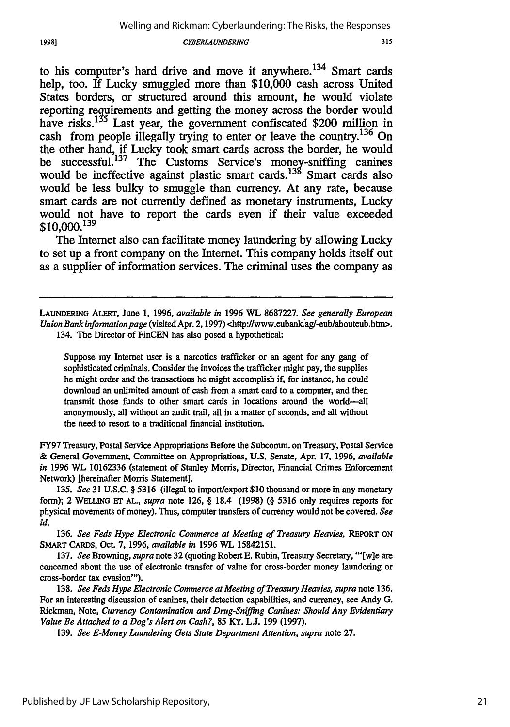19981

315

to his computer's hard drive and move it anywhere.<sup>134</sup> Smart cards help, too. If Lucky smuggled more than **\$10,000** cash across United States borders, or structured around this amount, he would violate reporting requirements and getting the money across the border would have risks.<sup>135</sup> Last year, the government confiscated \$200 million in cash from people illegally trying to enter or leave the country.<sup>136</sup> On the other hand, if Lucky took smart cards across the border, he would be successful.<sup>137</sup> The Customs Service's money-sniffing canines would be ineffective against plastic smart cards.<sup>138</sup> Smart cards also would be less bulky to smuggle than currency. At any rate, because smart cards are not currently defined as monetary instruments, Lucky would not have to report the cards even if their value exceeded **\$** 10,000.139

The Internet also can facilitate money laundering **by** allowing Lucky to set up a front company on the Internet. This company holds itself out as a supplier of information services. The criminal uses the company as

**LAUNDERING ALERT,** June 1, 1996, *available in* 1996 WL 8687227. *See generally European Union Bank information page* (visited Apr. 2, 1997) <http://www.eubank.ag/-eub/abouteub.htm>. 134. The Director of FinCEN has also posed a hypothetical:

Suppose my Internet user is a narcotics trafficker or an agent for any gang of sophisticated criminals. Consider the invoices the trafficker might pay, the supplies he might order and the transactions he might accomplish if, for instance, he could download an unlimited amount of cash from a smart card to a computer, and then transmit those funds to other smart cards in locations around the world-all anonymously, all without an audit trail, all in a matter of seconds, and all without the need to resort to a traditional financial institution.

FY97 Treasury, Postal Service Appropriations Before the Subcomm. on Treasury, Postal Service & General Government, Committee on Appropriations, U.S. Senate, Apr. 17, 1996, *available in* 1996 WL 10162336 (statement of Stanley Morris, Director, Financial Crimes Enforcement Network) [hereinafter Morris Statement].

135. *See* 31 U.S.C. § 5316 (illegal to import/export \$10 thousand or more in any monetary form); 2 WELLING **ET AL.,** *supra* note 126, § 18.4 (1998) (§ 5316 only requires reports for physical movements of money). Thus, computer transfers of currency would not be covered. *See id.*

136. *See Feds Hype Electronic Commerce at Meeting of Treasury Heavies,* **REPORT ON SMART CARDS,** Oct. 7, 1996, *available in* 1996 WL 15842151.

137. *See* Browning, *supra* note **32** (quoting Robert E. Rubin, Treasury Secretary, "'[w]e are concerned about the use of electronic transfer of value for cross-border money laundering or cross-border tax evasion"').

138. *See Feds Hype Electronic Commerce at Meeting of Treasury Heavies, supra* note 136. For an interesting discussion of canines, their detection capabilities, and currency, see Andy **G.** Rickman, Note, *Currency Contamination and Drug-Sniffing Canines: Should Any Evidentiary Value Be Attached to a Dog's Alert on Cash?,* 85 KY. **LJ.** 199 (1997).

139. *See E-Money Laundering Gets State Department Attention, supra* note **27.**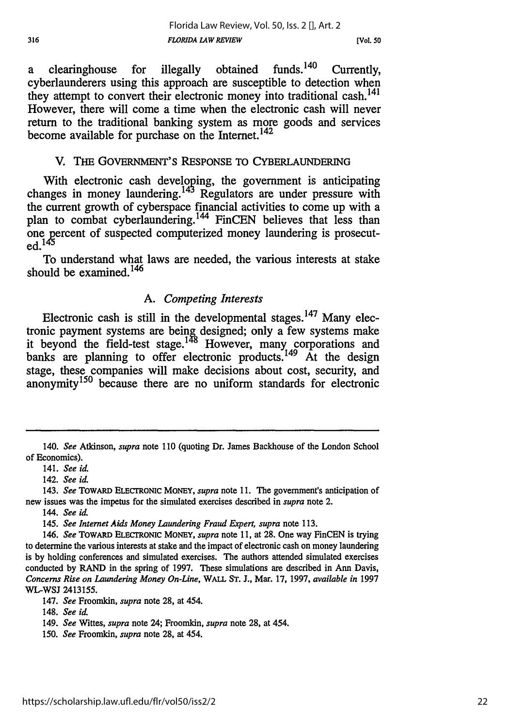a clearinghouse for illegally obtained funds.<sup>140</sup> Currently, cyberlaunderers using this approach are susceptible to detection when they attempt to convert their electronic money into traditional cash.<sup>141</sup> However, there will come a time when the electronic cash will never return to the traditional banking system as more goods and services become available for purchase on the Internet. <sup>142</sup>

## V. THE GOVERNMENT'S **RESPONSE** TO CYBERLAUNDERING

With electronic cash developing, the government is anticipating changes in money laundering.<sup>143</sup> Regulators are under pressure with the current growth of cyberspace financial activities to come up with a plan to combat cyberlaundering.<sup>144</sup> FinCEN believes that less than one percent of suspected computerized money laundering is prosecut- ed.<sup>145</sup>

To understand what laws are needed, the various interests at stake should be examined.  $146$ 

# *A. Competing Interests*

Electronic cash is still in the developmental stages.  $147$  Many electronic payment systems are being designed; only a few systems make it beyond the field-test stage.<sup>148</sup> However, many corporations and banks are planning to offer electronic products.<sup>149</sup> At the design stage, these companies will make decisions about cost, security, and anonymity 150 because there are no uniform standards for electronic

*144. See id.*

*<sup>140.</sup> See* Atkinson, *supra* note 110 (quoting Dr. James Backhouse of the London School of Economics).

<sup>141.</sup> *See id.*

<sup>142.</sup> *See id.*

<sup>143.</sup> *See* TOWARD ELECTRONIC MONEY, *supra* note 11. The government's anticipation of new issues was the impetus for the simulated exercises described in *supra* note 2.

<sup>145.</sup> *See Internet Aids Money Laundering Fraud Expert, supra* note 113.

*<sup>146.</sup> See* TOWARD ELECTRONIC MONEY, *supra* note 11, at **28.** One way FinCEN is trying to determine the various interests at stake and the impact of electronic cash on money laundering is by holding conferences and simulated exercises. The authors attended simulated exercises conducted by RAND in the spring of 1997. These simulations are described in Ann Davis, *Concerns Rise on Laundering Money On-Line,* **WALL ST.** J., Mar. 17, 1997, *available in* 1997 WL-WSJ 2413155.

<sup>147.</sup> *See* Froomkin, *supra* note **28,** at 454.

<sup>148.</sup> *See id.*

<sup>149.</sup> *See* Wines, *supra* note 24; Froomkin, *supra* note **28,** at 454.

<sup>150.</sup> *See* Froomkin, *supra* note 28, at 454.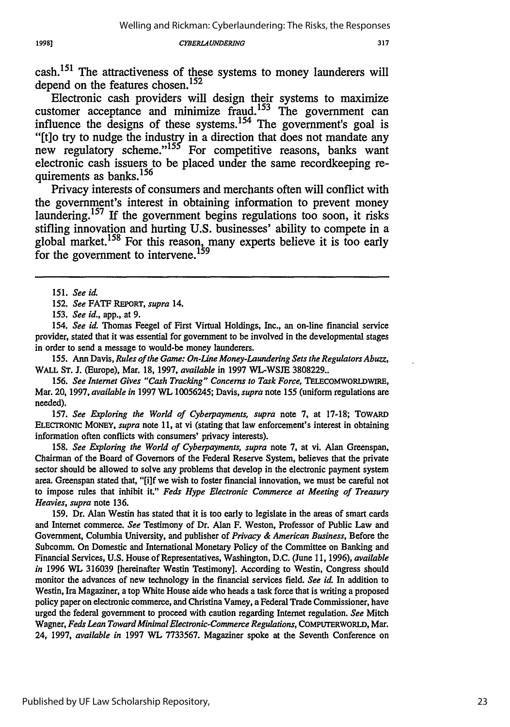317

cash. 151 The attractiveness of these systems to money launderers will depend on the features chosen.<sup>152</sup>

Electronic cash providers will design their systems to maximize customer acceptance and minimize fraud.<sup>153</sup> The government can influence the designs of these systems.<sup>154</sup> The government's goal is "[t]o try to nudge the industry in a direction that does not mandate any new regulatory scheme."<sup>155</sup> For competitive reasons, banks want electronic cash issuers to be placed under the same recordkeeping requirements as banks.<sup>156</sup>

Privacy interests of consumers and merchants often will conflict with the government's interest in obtaining information to prevent money laundering.<sup>157</sup> If the government begins regulations too soon, it risks stifling innovation and hurting **U.S.** businesses' ability to compete in a global market. 158 For this reason, many experts believe it is too early for the government to intervene.<sup>159</sup>

151. *See* id,

*152. See* FATF REPORT, *supra* 14.

153. *See id.,* app., at 9.

154. *See id.* Thomas Feegel of First Virtual Holdings, Inc., an on-line financial service provider, stated that it was essential for government to be involved in the developmental stages in order to send a message to would-be money launderers.

155. Ann Davis, *Rules of the Game: On-Line Money-Laundering Sets the Regulators Abuzz,* WALL **ST. J.** (Europe), Mar. 18, 1997, *available* in 1997 **WL-WSJE** 3808229..

156. *See Internet Gives "Cash Tracking" Concerns to Task Force,* **TELECOMWORLDWiRE,** Mar. 20, 1997, *available in* 1997 **WL** 10056245; Davis, *supra* note 155 (uniform regulations are needed).

157. *See Exploring the World of Cyberpayments, supra* note **7,** at **17-18;** TOWARD ELECTRONIC MONEY, *supra* note 11, at vi (stating that law enforcement's interest in obtaining information often conflicts with consumers' privacy interests).

158. *See Exploring the World of Cyberpayments, supra* note 7, at vi. Alan Greenspan, Chairman of the Board of Governors of the Federal Reserve System, believes that the private sector should be allowed to solve any problems that develop in the electronic payment system area. Greenspan stated that, "[i]f we wish to foster financial innovation, we must be careful not to impose rules that inhibit it." *Feds Hype Electronic Commerce at Meeting of Treasury Heavies, supra* note 136.

159. Dr. Alan Westin has stated that it is too early to legislate in the areas of smart cards and Internet commerce. *See* Testimony of Dr. Alan F. Weston, Professor of Public Law and Government, Columbia University, and publisher of *Privacy & American Business,* Before the Subcomm. On Domestic and International Monetary Policy of the Committee on Banking and Financial Services, U.S. House of Representatives, Washington, D.C. (June 11, 1996), *available in* 1996 WL 316039 [hereinafter Westin Testimony]. According to Westin, Congress should monitor the advances of new technology in the financial services field. *See id.* In addition to Westin, Ira Magaziner, a top White House aide who heads a task force that is writing a proposed policy paper on electronic commerce, and Christina Vamey, a Federal Trade Commissioner, have urged the federal government to proceed with caution regarding Internet regulation. *See* Mitch Wagner, *Feds Lean Toward Minimal Electronic-Commerce Regulations,* COMPuTERWORLD, Mar. 24, 1997, *available in* 1997 WL 7733567. Magaziner spoke at the Seventh Conference on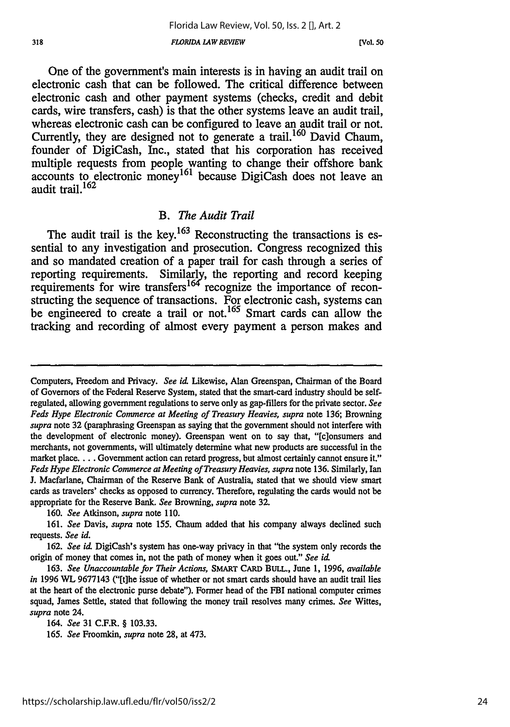One of the government's main interests is in having an audit trail on electronic cash that can be followed. The critical difference between electronic cash and other payment systems (checks, credit and debit cards, wire transfers, cash) is that the other systems leave an audit trail, whereas electronic cash can be configured to leave an audit trail or not. Currently, they are designed not to generate a trail.<sup>160</sup> David Chaum. founder of DigiCash, Inc., stated that his corporation has received multiple requests from people wanting to change their offshore bank accounts to electronic money<sup>161</sup> because DigiCash does not leave an **audit** trail. <sup>162</sup>

# *B. The Audit Trail*

The audit trail is the key.<sup>163</sup> Reconstructing the transactions is essential to any investigation and prosecution. Congress recognized this and so mandated creation of a paper trail for cash through a series of reporting requirements. Similarly, the reporting and record keeping requirements for wire transfers<sup>164</sup> recognize the importance of reconstructing the sequence of transactions. For electronic cash, systems can be engineered to create a trail or **not.165** Smart cards can allow the tracking and recording of almost every payment a person makes and

160. *See* Atkinson, *supra* note 110.

Computers, Freedom and Privacy. *See ia* Likewise, Alan Greenspan, Chairman of the Board of Governors of the Federal Reserve System, stated that the smart-card industry should be selfregulated, allowing government regulations to serve only as gap-fillers for the private sector. *See Feds Hype Electronic Commerce at Meeting of Treasury Heavies, supra* note 136; Browning *supra* note 32 (paraphrasing Greenspan as saying that the government should not interfere with the development of electronic money). Greenspan went on to say that, "[c]onsumers and merchants, not governments, will ultimately determine what new products are successful in the market place.... Government action can retard progress, but almost certainly cannot ensure it." *Feds Hype Electronic Commerce at Meeting of Treasury Heavies, supra* note 136. Similarly, Ian J. Macfarlane, Chairman of the Reserve Bank of Australia, stated that we should view smart cards as travelers' checks as opposed to currency. Therefore, regulating the cards would not be appropriate for the Reserve Bank. *See* Browning, *supra* note 32.

<sup>161.</sup> *See* Davis, *supra* note 155. Chaum added that his company always declined such requests. *See id.*

<sup>162.</sup> *See id.* DigiCash's system has one-way privacy in that "the system only records the origin of money that comes in, not the path of money when it goes out." *See id.*

<sup>163.</sup> *See Unaccountable for Their Actions,* SMART **CARD** BULL., June **1,** 1996, *available in* 1996 WL 9677143 ("[t]he issue of whether or not smart cards should have an audit trail lies at the heart of the electronic purse debate"). Former head of the FBI national computer crimes squad, James Settle, stated that following the money trail resolves many crimes. *See* Wittes, *supra* note 24.

*<sup>164.</sup> See* 31 C.F.R. § 103.33.

<sup>165.</sup> *See* Froomkin, *supra* note **28,** at 473.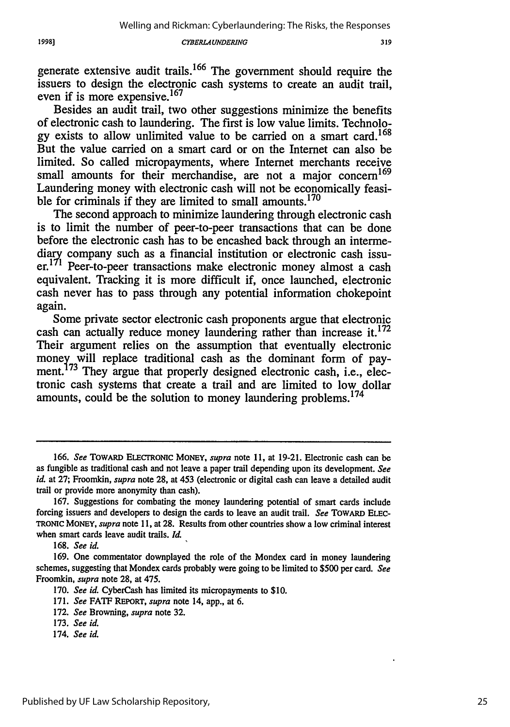generate extensive audit trails.<sup>166</sup> The government should require the issuers to design the electronic cash systems to create an audit trail, even if is more expensive.<sup>167</sup>

Besides an audit trail, two other suggestions minimize the benefits of electronic cash to laundering. The first is low value limits. Technology exists to allow unlimited value to be carried on a smart card.<sup>168</sup> But the value carried on a smart card or on the Internet can also be limited. So called micropayments, where Internet merchants receive small amounts for their merchandise, are not a major concern<sup>169</sup> Laundering money with electronic cash will not be economically feasible for criminals if they are limited to small amounts.  $170$ 

The second approach to minimize laundering through electronic cash is to limit the number of peer-to-peer transactions that can be done before the electronic cash has to be encashed back through an intermediary company such as a financial institution or electronic cash issu $er.$ <sup>171</sup> Peer-to-peer transactions make electronic money almost a cash equivalent. Tracking it is more difficult if, once launched, electronic cash never has to pass through any potential information chokepoint again.

Some private sector electronic cash proponents argue that electronic cash can actually reduce money laundering rather than increase it.<sup>172</sup> Their argument relies on the assumption that eventually electronic money will replace traditional cash as the dominant form of payment.<sup>173</sup> They argue that properly designed electronic cash, i.e., electronic cash systems that create a trail and are limited to low dollar amounts, could be the solution to money laundering problems.<sup>174</sup>

168. *See id.*

174. *See id.*

19981

<sup>166.</sup> *See* **TOWARD** ELECTRONIc **MONEY,** *supra* note **11,** at **19-21.** Electronic cash can be as fungible as traditional cash and not leave a paper trail depending upon its development. *See id.* at **27;** Froomkin, *supra* note **28,** at 453 (electronic or digital cash can leave a detailed audit trail or provide more anonymity than cash).

<sup>167.</sup> Suggestions for combating the money laundering potential of smart cards include forcing issuers and developers to design the cards to leave an audit trail. *See* TOWARD **ELEC-TRONIC** MONEY, *supra* note 11, at **28.** Results from other countries show a low criminal interest when smart cards leave audit trails. *Id*

<sup>169.</sup> One commentator downplayed the role of the Mondex card in money laundering schemes, suggesting that Mondex cards probably were going to be limited to \$500 per card. *See* Froomkin, *supra* note **28,** at 475.

<sup>170.</sup> *See id.* CyberCash has limited its micropayments to \$10.

<sup>171.</sup> *See* FATF **REPORT,** *supra* note 14, app., at **6.**

<sup>172.</sup> *See* Browning, *supra* note **32.**

<sup>173.</sup> *See id.*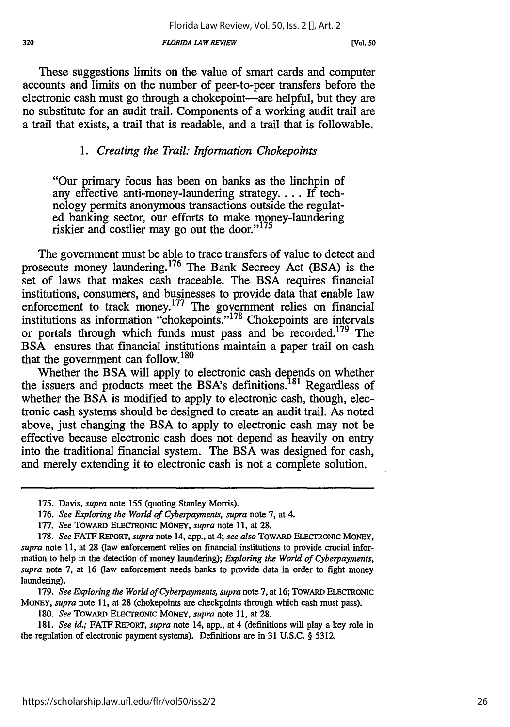*[Vol. 50*

These suggestions limits on the value of smart cards and computer accounts and limits on the number of peer-to-peer transfers before the electronic cash must go through a chokepoint—are helpful, but they are no substitute for an audit trail. Components of a working audit trail are a trail that exists, a trail that is readable, and a trail that is followable.

# *1. Creating the Trail. Information Chokepoints*

"Our primary focus has been on banks as the linchpin of any effective anti-money-laundering strategy... If technology permits anonymous transactions outside the regulated banking sector, our efforts to make money-laundering<br>riskier and costlier may go out the door."<sup>175</sup>

The government must be able to trace transfers of value to detect and prosecute money laundering. 176 The Bank Secrecy Act (BSA) is the set of laws that makes cash traceable. The BSA requires financial institutions, consumers, and businesses to provide data that enable law enforcement to track money.<sup>177</sup> The government relies on financial institutions as information "chokepoints."<sup>178</sup> Chokepoints are intervals or portals through which funds must pass and be recorded.<sup>179</sup> The BSA ensures that financial institutions maintain a paper trail on cash that the government can follow.  $180$ 

Whether the BSA will apply to electronic cash depends on whether the issuers and products meet the BSA's definitions.<sup>181</sup> Regardless of whether the BSA is modified to apply to electronic cash, though, electronic cash systems should be designed to create an audit trail. As noted above, just changing the BSA to apply to electronic cash may not be effective because electronic cash does not depend as heavily on entry into the traditional financial system. The BSA was designed for cash, and merely extending it to electronic cash is not a complete solution.

179. *See Exploring the World of Cyberpayments, supra* note 7, at 16; TOWARD ELECTRONIC MONEY, *supra* note 11, at 28 (chokepoints are checkpoints through which cash must pass).

**180.** *See* TOWARD ELECTRONIC MONEY, *supra* note 11, at 28.

**181.** *See id.;* FATF **REPORT,** *supra* note 14, app., at 4 (definitions will play a key role in the regulation of electronic payment systems). Definitions are in 31 **U.S.C.** § 5312.

<sup>175.</sup> Davis, *supra* note 155 (quoting Stanley Morris).

**<sup>176.</sup>** *See Exploring the World of Cyberpayments, supra* note 7, at 4.

**<sup>177.</sup>** *See* TOWARD ELECTRONIC MONEY, *supra* note 11, at **28.**

<sup>178.</sup> *See* FATF REPORT, *supra* note 14, app., at 4; *see also* TOWARD ELECTRONIC MONEY, *supra* note 11, at 28 (law enforcement relies on financial institutions to provide crucial information to help in the detection of money laundering); *Exploring the World of Cyberpayments, supra* note 7, at 16 (law enforcement needs banks to provide data in order to fight money laundering).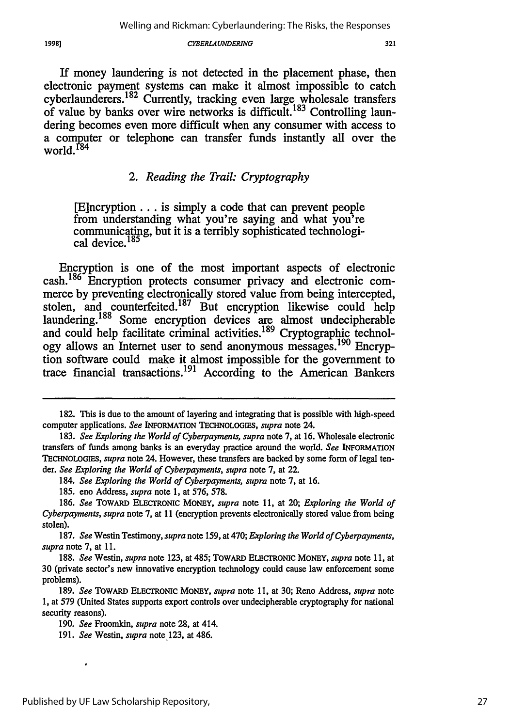**If** money laundering is not detected in the placement phase, then electronic payment systems can make it almost impossible to catch cyberlaunderers. 182 Currently, tracking even large wholesale transfers of value **by** banks over wire networks is difficult. 183 Controlling laundering becomes even more difficult when any consumer with access to a computer or telephone can transfer funds instantly all over the world.<sup>184</sup>

## *2. Reading the Trail: Cryptography*

[E]ncryption **...** is simply a code that can prevent people from understanding what you're saying and what you're communicating, but it is a terribly sophisticated technological device.<sup>185</sup>

Encryption is one of the most important aspects of electronic cash. 186 Encryption protects consumer privacy and electronic commerce **by** preventing electronically stored value from being intercepted, stolen, and counterfeited.<sup>187</sup> But encryption likewise could help laundering. 188 Some encryption devices are almost undecipherable and could help facilitate criminal activities.<sup>189</sup> Cryptographic technology allows an Internet user to send anonymous messages.190 Encryption software could make it almost impossible for the government to trace financial transactions.<sup>191</sup> According to the American Bankers

19981

<sup>182.</sup> This is due to the amount of layering and integrating that is possible with high-speed computer applications. See INFORMATION TECHNOLOGIES, *supra* note 24.

<sup>183.</sup> *See Exploring the World of Cyberpayments, supra* note 7, at 16. Wholesale electronic transfers of funds among banks is an everyday practice around the world. *See* INFORMATION TECHNOLOGIES, *supra* note 24. However, these transfers are backed by some form of legal tender. *See Exploring the World of Cyberpayments, supra* note 7, at 22.

<sup>184.</sup> *See Exploring the World of Cyberpayments, supra* note 7, at 16.

<sup>185.</sup> eno Address, *supra* note 1, at 576, 578.

<sup>186.</sup> *See* TOwARD ELECrRONIc MONEY, *supra* note 11, at 20; *Exploring the World of Cyberpayments, supra* note 7, at 11 (encryption prevents electronically stored value from being stolen).

<sup>187.</sup> *See* Westin Testimony, *supra* note 159, at 470; *Fxploring the World of Cyberpayments, supra* note 7, at 11.

<sup>188.</sup> *See* Westin, *supra* note 123, at 485; TOWARD ELECTRONIC MONY, *supra* note 11, at 30 (private sector's new innovative encryption technology could cause law enforcement some problems).

<sup>189.</sup> *See* TOWARD ELECTRONIC MONEY, *supra* note 11, at 30; Reno Address, *supra* note 1, at 579 (United States supports export controls over undecipherable cryptography for national security reasons).

<sup>190.</sup> *See* Froonkin, *supra* note 28, at 414.

<sup>191.</sup> *See* Westin, *supra* note 123, at 486.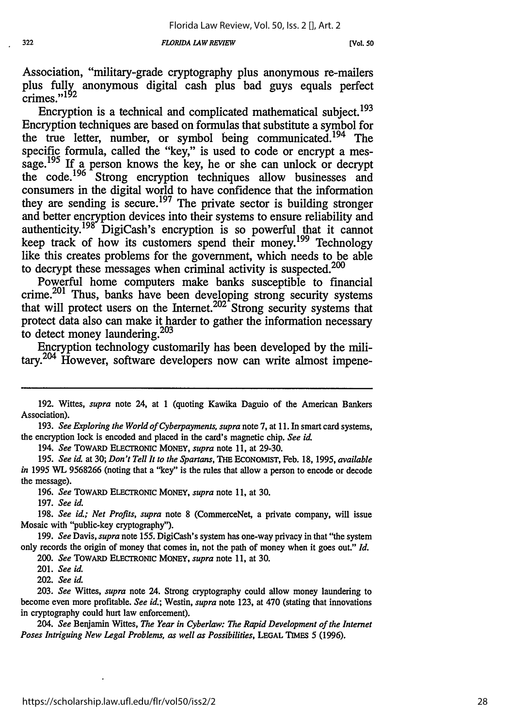*FLORIDA LAW REVIEW*

Association, "military-grade cryptography plus anonymous re-mailers plus fully anonymous digital cash plus bad guys equals perfect<br>crimes."<sup>192</sup>

Encryption is a technical and complicated mathematical subject. <sup>193</sup> Encryption techniques are based on formulas that substitute a symbol for the true letter, number, or symbol being communicated.<sup>194</sup> The specific formula, called the "key," is used to code or encrypt a message.<sup>195</sup> If a person knows the key, he or she can unlock or decrypt the code.<sup>196</sup> Strong encryption techniques allow businesses and consumers in the digital world to have confidence that the information they are sending is secure.<sup>197</sup> The private sector is building stronger and better encryption devices into their systems to ensure reliability and authenticity.<sup>198</sup> DigiCash's encryption is so powerful that it cannot keep track of how its customers spend their money.199 Technology like this creates problems for the government, which needs to be able to decrypt these messages when criminal activity is suspected.200

Powerful home computers make banks susceptible to financial crime.<sup>201</sup> Thus, banks have been developing strong security systems that will protect users on the Internet. $202$  Strong security systems that protect data also can make it harder to gather the information necessary to detect money laundering. $203$ 

Encryption technology customarily has been developed **by** the military.204 However, software developers now can write almost impene-

193. *See Exploring the World of Cyberpayments, supra* note **7,** at 11. In smart card systems, the encryption lock is encoded and placed in the card's magnetic chip. *See* **id**

194. *See* TOWARD **ELECTRONIC** MONEY, *supra* note **11,** at 29-30.

195. *See id* at **30;** *Don't Tell It to the Spartans, THE* ECONOMIST, Feb. 18, 1995, *available in* 1995 WL 9568266 (noting that a "key" is the rules that allow a person to encode or decode the message).

196. *See* TOWARD ELECTRONIC MONEY, *supra* note **11,** at 30.

197. *See id.*

198. *See id; Net Profits, supra* note **8** (CommerceNet, a private company, **will** issue Mosaic with "public-key cryptography").

199. *See* Davis, *supra* note 155. DigiCash's system has one-way privacy in that "the system only records the origin of money that comes in, not the path of money when it goes out." *Id. 200. See* TOWARD **ELECITRONIC** MONEY, *supra* note 11, at 30.

201. *See id.*

202. *See id.*

203. *See* Wittes, *supra* note 24. Strong cryptography could allow money laundering to become even more profitable. *See id.;* Westin, *supra* note **123,** at 470 (stating that innovations in cryptography could hurt law enforcement).

*204. See* Benjamin Wittes, *The Year in Cyberlaw: The Rapid Development of the Internet Poses Intriguing New Legal Problems, as well as Possibilities, LEGAL TIMES 5 (1996).* 

**<sup>192.</sup>** Wittes, *supra* note 24, at **1** (quoting Kawika Daguio of the American Bankers Association).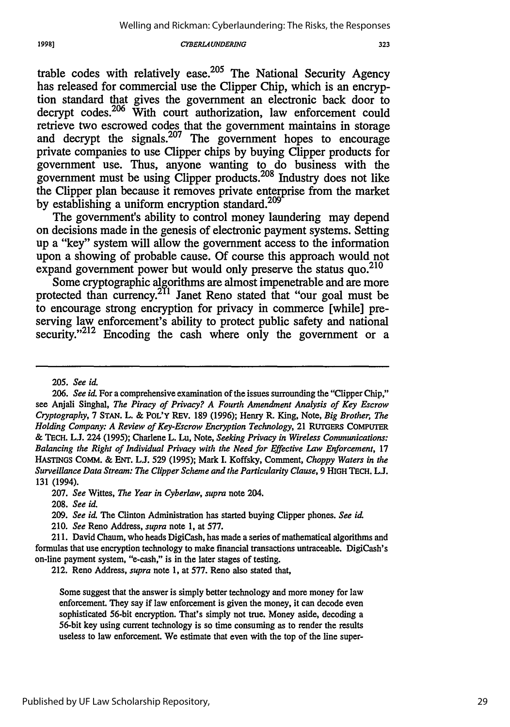trable codes with relatively ease.<sup>205</sup> The National Security Agency has released for commercial use the Clipper Chip, which is an encryption standard that gives the government an electronic back door to decrypt codes.<sup>206</sup> With court authorization, law enforcement could retrieve two escrowed codes that the government maintains in storage and decrypt the signals.<sup>207</sup> The government hopes to encourage private companies to use Clipper chips **by** buying Clipper products for government use. Thus, anyone wanting to do business with the government must be using Clipper products.<sup>208</sup> Industry does not like the Clipper plan because it removes private enterprise from the market by establishing a uniform encryption standard.<sup>209</sup>

The government's ability to control money laundering may depend on decisions made in the genesis of electronic payment systems. Setting up a "key" system will allow the government access to the information upon a showing of probable cause. **Of** course this approach would not expand government power but would only preserve the status quo.<sup>210</sup>

Some cryptographic algorithms are almost impenetrable and are more protected than currency.<sup>211</sup> Janet Reno stated that "our goal must be to encourage strong encryption for privacy in commerce [while] preserving law enforcement's ability to protect public safety and national security."<sup>212</sup> Encoding the cash where only the government or a

**207.** *See Wittes, The Year in Cyberlaw, supra* note 204.

**208.** *See id.*

*209. See id.* The Clinton Administration has started buying Clipper phones. *See* **id.**

210. *See* Reno Address, *supra* note **1,** at **577.**

**211.** David Chaum, who heads DigiCash, has made a series of mathematical algorithms and formulas that use encryption technology to make financial transactions untraceable. DigiCash's on-line payment system, "e-cash," is in the later stages of testing.

212. Reno Address, *supra* note **1,** at **577.** Reno also stated that,

Some suggest that the answer is simply better technology and more money for law enforcement. They say if law enforcement is given the money, it can decode even sophisticated 56-bit encryption. That's simply not true. Money aside, decoding a 56-bit key using current technology is so time consuming as to render the results useless to law enforcement. We estimate that even with the top of the line super-

<sup>205.</sup> *See id.*

*<sup>206.</sup> See id.* For a comprehensive examination of the issues surrounding the "Clipper Chip," see Anjali Singhal, *The Piracy of Privacy? A Fourth Amendment Analysis of Key Escrow Cryptography,* **7 STAN. L.** & POL'Y REV. **189 (1996);** Henry R. King, Note, *Big Brother, The Holding Company: A Review of Key-Escrow Encryption Technology,* 21 **RuTGERS COMPUTER** & **TEcH. L.J.** 224 **(1995);** Charlene L. Lu, Note, *Seeking Privacy in Wireless Communications:* Balancing the Right of Individual Privacy with the Need for Effective Law Enforcement, 17 HASTINGS **CoMm. & ENT. Li. 529 (1995);** Mark **I.** Koffsky, Comment, *Choppy Waters in the Surveillance Data Stream: The Clipper Scheme and the Particularity Clause,* **9 HIGH TECH. L.J.** 131 (1994).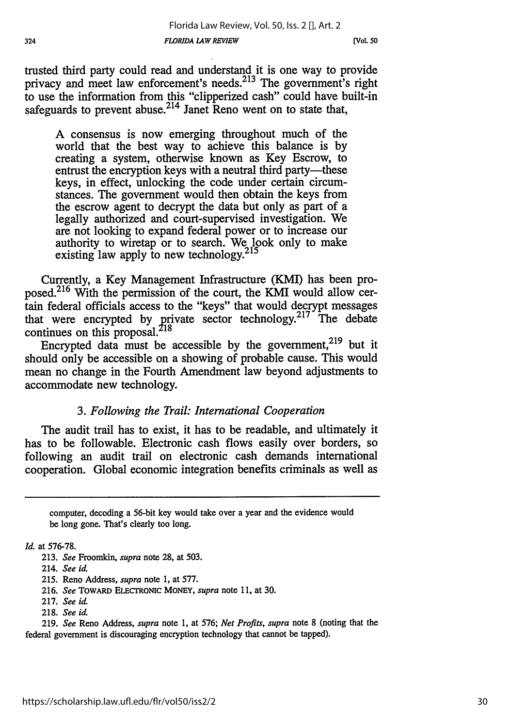**[Vol. 50**

trusted third party could read and understand it is one way to provide privacy and meet law enforcement's needs.<sup>213</sup> The government's right to use the information from this "clipperized cash" could have built-in safeguards to prevent abuse.<sup>214</sup> Janet Reno went on to state that,

A consensus is now emerging throughout much of the world that the best way to achieve this balance is by creating a system, otherwise known as Key Escrow, to entrust the encryption keys with a neutral third party—these keys, in effect, unlocking the code under certain circumstances. The government would then obtain the keys from the escrow agent to decrypt the data but only as part of a legally authorized and court-supervised investigation. We are not looking to expand federal power or to increase our authority to wiretap or to search. We look only to make existing law apply to new technology.<sup>215</sup>

Currently, a Key Management Infrastructure (KMI) has been proposed.216 With the permission of the court, the KMI would allow certain federal officials access to the "keys" that would decrypt messages that were encrypted by private sector technology.<sup>217</sup> The debate continues on this proposal.<sup>218</sup>

Encrypted data must be accessible by the government,  $219$  but it should only be accessible on a showing of probable cause. This would mean no change in the Fourth Amendment law beyond adjustments to accommodate new technology.

# *3. Following the Trail: International Cooperation*

The audit trail has to exist, it has to be readable, and ultimately it has to be followable. Electronic cash flows easily over borders, so following an audit trail on electronic cash demands international cooperation. Global economic integration benefits criminals as well as

computer, decoding a 56-bit key would take over a year and the evidence would be long gone. That's clearly too long.

*Id.* at 576-78.

213. *See* Froomkin, *supra* note 28, at 503.

214. *See id.*

215. Reno Address, *supra* note 1, at 577.

216. *See* TOWARD ELECTRONIC MONEY, *supra* note 11, at 30.

217. *See id.*

218. *See id.*

219. *See* Reno Address, *supra* note **1,** at 576; *Net Profits, supra* note 8 (noting that the federal government is discouraging encryption technology that cannot be tapped).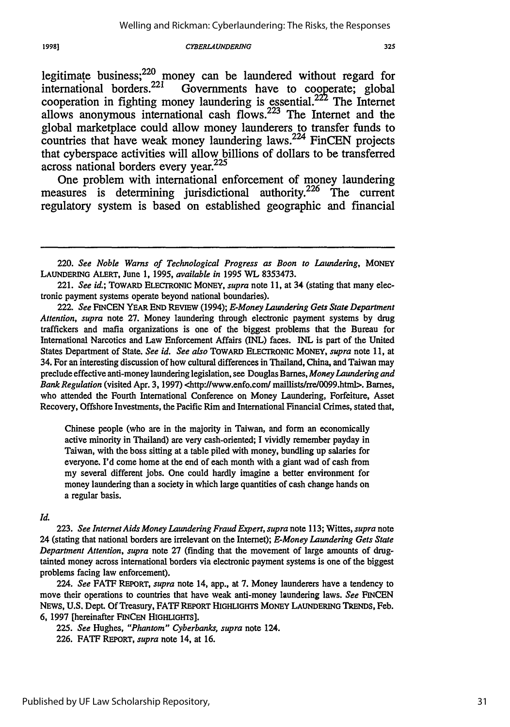legitimate business; $^{220}$  money can be laundered without regard for international borders.<sup>221</sup> Governments have to cooperate; global cooperation in fighting money laundering is essential.<sup>222</sup> The Internet allows anonymous international cash flows.223 The Internet and the global marketplace could allow money launderers to transfer funds to countries that have weak money laundering laws.224 FinCEN projects that cyberspace activities will allow billions of dollars to be transferred across national borders every year.<sup>225</sup>

One problem with international enforcement of money laundering measures is determining jurisdictional authority.<sup>226</sup> The current regulatory system is based on established geographic and financial

222. *See* **FINCEN** YEAR **END REVIEW** (1994); *E-Money Laundering Gets State Department Attention, supra* note **27.** Money laundering through electronic payment systems **by** drug traffickers and mafia organizations is one of the biggest problems that the Bureau for International Narcotics and Law Enforcement Affairs **(INL)** faces. **INL** is part of the United States Department of State. *See id. See also* TOWARD ELECIRONIC MONEY, *supra* note **11,** at 34. For an interesting discussion of how cultural differences in Thailand, China, and Taiwan may preclude effective anti-money laundering legislation, see Douglas Barnes, *Money Laundering and* Bank Regulation (visited Apr. 3, 1997) <http://www.enfo.com/ maillists/rre/0099.html>. Barnes, who attended the Fourth International Conference on Money Laundering, Forfeiture, Asset Recovery, Offshore Investments, the Pacific Rim and International Financial Crimes, stated that,

Chinese people (who are in the majority in Taiwan, and form an economically active minority in Thailand) are very cash-oriented; I vividly remember payday in Taiwan, with the boss sitting at a table piled with money, bundling up salaries for everyone. I'd come home at the end of each month with a giant wad of cash from my several different jobs. One could hardly imagine a better environment for money laundering than a society in which large quantities of cash change hands on a regular basis.

### *Id.*

**223.** *See Internet Aids Money Laundering Fraud Expert, supra* note **113;** Wittes, *supra* note 24 (stating that national borders are irrelevant on the Internet); *E-Money Laundering Gets State Department Attention, supra* note **27** (finding that the movement of large amounts of drugtainted money across international borders via electronic payment systems is one of the biggest problems facing law enforcement).

224. *See* FATF **REPORT,** *supra* note 14, app., at **7.** Money launderers have a tendency to move their operations to countries that have weak anti-money laundering laws. *See FINCEN* NEWS, U.S. **Dept.** Of Treasury, FATF REPORT HIGHLIGHTS MONEY LAUNDERING TRENDS, **Feb. 6, 1997** [hereinafter **FINCEN** HIGHLIGHTS].

225. *See* Hughes, *"Phantom" Cyberbanks, supra* note 124.

**226.** FATF REPORT, *supra* note 14, at **16.**

<sup>220.</sup> *See Noble Warns of Technological Progress as Boon to Laundering,* **MONEY** LAUNDERING ALERT, June **1, 1995,** *available in* **1995** WL **8353473.**

<sup>221.</sup> *See id.;* TOWARI) ELECTRoNIc MONEY, *supra* note **11,** at 34 (stating that many electronic payment systems operate beyond national boundaries).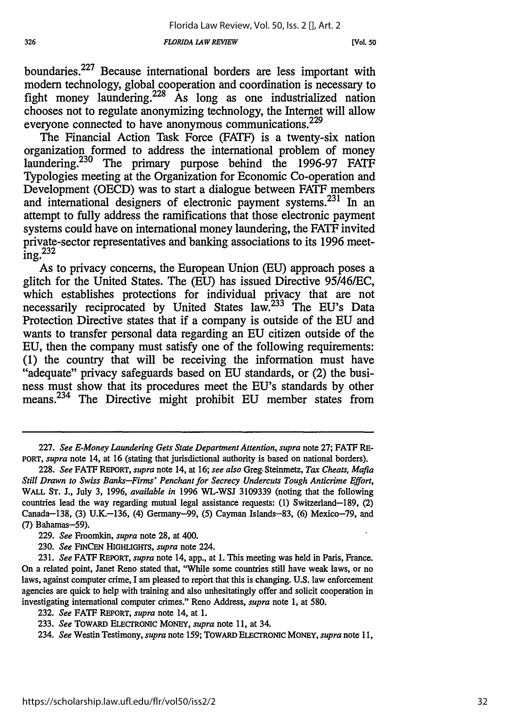boundaries. 227 Because international borders are less important with modem technology, global cooperation and coordination is necessary to fight money laundering.228 As long as one industrialized nation chooses not to regulate anonymizing technology, the Internet will allow everyone connected to have anonymous communications. <sup>229</sup>

The Financial Action Task Force (FATF) is a twenty-six nation organization formed to address the international problem of money laundering.<sup>230</sup> The primary purpose behind the 1996-97 FATF Typologies meeting at the Organization for Economic Co-operation and Development (OECD) was to start a dialogue between FATF members and international designers of electronic payment systems.<sup>231</sup> In an attempt to fully address the ramifications that those electronic payment systems could have on international money laundering, the FATF invited private-sector representatives and banking associations to its 1996 meet- $\frac{1}{2}$  **ing.**<sup>232</sup>

As to privacy concerns, the European Union (EU) approach poses a glitch for the United States. The (EU) has issued Directive 95/46/EC, which establishes protections for individual privacy that are not necessarily reciprocated by United States law.<sup>233</sup> The EU's Data Protection Directive states that if a company is outside of the **EU** and wants to transfer personal data regarding an **EU** citizen outside of the EU, then the company must satisfy one of the following requirements: (1) the country that will be receiving the information must have "adequate" privacy safeguards based on EU standards, or (2) the business must show that its procedures meet the EU's standards by other means.234 The Directive might prohibit EU member states from

**<sup>227.</sup>** *See E-Money Laundering Gets State Department Attention, supra* note **27;** FATF RE-PORT, *supra* note 14, at 16 (stating that jurisdictional authority is based on national borders).

<sup>228.</sup> *See* FATF REPORT, *supra* note 14, at **16;** *see also* Greg.Steinmetz, *Tax Cheats, Mafia Still Drawn to Swiss Banks-Firms' Penchant for Secrecy Undercuts Tough Anticrime Effort,* WALL ST. **J.,** July 3, 1996, *available in* 1996 WL-WSJ 3109339 (noting that the following countries lead the way regarding mutual legal assistance requests: **(1)** Switzerland-189, (2) Canada-138, (3) U.K.-136, (4) Germany-99, (5) Cayman Islands-83, (6) Mexico-79, and (7) Bahamas-59).

<sup>229.</sup> *See* Froomkin, *supra* note 28, at 400.

<sup>230.</sup> *See* FINCEN **HIGHLIGHTS,** *supra* note 224.

<sup>231.</sup> *See* FATF REPORT, *supra* note 14, app., at 1. This meeting was held in Paris, France. On a related point, Janet Reno stated that, "While some countries still have weak laws, or no laws, against computer crime, I am pleased to report that this is changing. U.S. law enforcement agencies are quick to help with training and also unhesitatingly offer and solicit cooperation in investigating international computer crimes." Reno Address, *supra* note 1, at 580.

<sup>232.</sup> *See* FATF REPORT, *supra* note 14, at 1.

<sup>233.</sup> *See* TOWARD ELECTRONIC MONEY, *supra* note 11, at 34.

<sup>234.</sup> *See* Westin Testimony, *supra* note 159; **TOWARD** ELECrRONIC MONEY, *supra* note 11,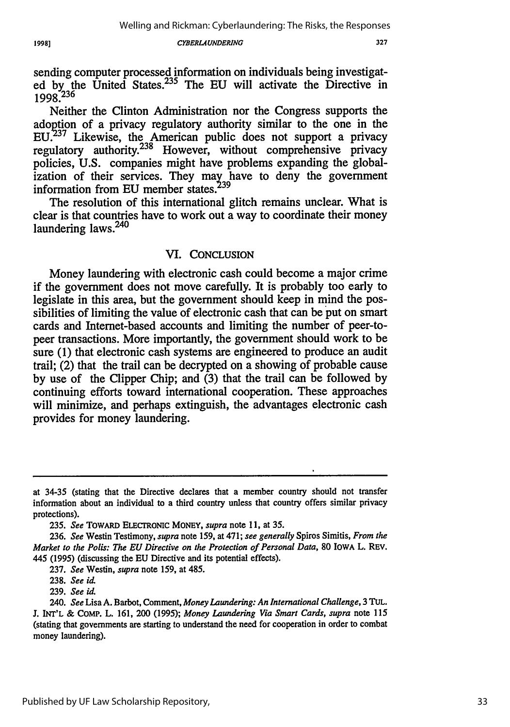sending computer processed information on individuals being investigated by the United States.<sup>235</sup> The EU will activate the Directive in 1998.236

Neither the Clinton Administration nor the Congress supports the adoption of a privacy regulatory authority similar to the one in the **EU. 237** Likewise, the American public does not support a privacy regulatory authority.<sup>238</sup> However, without comprehensive privacy policies, U.S. companies might have problems expanding the globalization of their services. They **may** have to deny the government information from **EU** member states. <sup>239</sup>

The resolution of this international glitch remains unclear. What is clear is that countries have to work out a way to coordinate their money laundering laws.<sup>240</sup>

# VI. **CONCLUSION**

Money laundering with electronic cash could become a major crime if the government does not move carefully. It is probably too early to legislate in this area, but the government should keep in mind the possibilities of limiting the value of electronic cash that can be put on smart cards and Internet-based accounts and limiting the number of peer-topeer transactions. More importantly, the government should work to be sure (1) that electronic cash systems are engineered to produce an audit trail; (2) that the trail can be decrypted on a showing of probable cause by use of the Clipper Chip; and (3) that the trail can be followed by continuing efforts toward international cooperation. These approaches will minimize, and perhaps extinguish, the advantages electronic cash provides for money laundering.

at 34-35 (stating that the Directive declares that a member country should not transfer information about an individual to a third country unless that country offers similar privacy protections).

*<sup>235.</sup> See* TOWARD ELECrRONIC MONEY, *supra* note 11, at 35.

<sup>236.</sup> *See* Westin Testimony, *supra* note 159, at 471; *see generally* Spiros Simitis, *From the Market to the Polis: The EU Directive on the Protection of Personal Data,* 80 IOWA L. REv. 445 (1995) (discussing the **EU** Directive and its potential effects).

<sup>237.</sup> *See* Westin, *supra* note 159, at 485.

<sup>238.</sup> *See icL*

<sup>239.</sup> See id.

*<sup>240.</sup> See* Lisa A. Barbot, Comment, *Money Laundering: An International Challenge,* 3 TUL. **J.** INT'L & COMP. L. 161, 200 (1995); *Money Laundering Via Smart Cards, supra* note 115 (stating that governments are starting to understand the need for cooperation in order to combat money laundering).